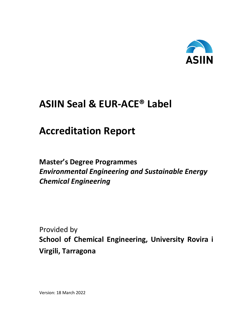

# **ASIIN Seal & EUR-ACE® Label**

# **Accreditation Report**

# **Master's Degree Programmes** *Environmental Engineering and Sustainable Energy Chemical Engineering*

Provided by **School of Chemical Engineering, University Rovira i Virgili, Tarragona**

Version: 18 March 2022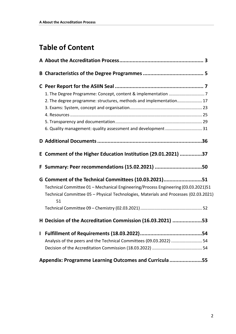# **Table of Content**

|   | 2. The degree programme: structures, methods and implementation 17                         |  |
|---|--------------------------------------------------------------------------------------------|--|
|   |                                                                                            |  |
|   |                                                                                            |  |
|   |                                                                                            |  |
|   | 6. Quality management: quality assessment and development  31                              |  |
|   |                                                                                            |  |
|   | E Comment of the Higher Education Institution (29.01.2021) 37                              |  |
|   | F Summary: Peer recommendations (15.02.2021) 50                                            |  |
|   | G Comment of the Technical Committees (10.03.2021)51                                       |  |
|   | Technical Committee 01 - Mechanical Engineering/Process Engineering (03.03.2021)51         |  |
|   | Technical Committee 05 - Physical Technologies, Materials and Processes (02.03.2021)<br>51 |  |
|   |                                                                                            |  |
|   | H Decision of the Accreditation Commission (16.03.2021) 53                                 |  |
| L |                                                                                            |  |
|   | Analysis of the peers and the Technical Committees (09.03.2022)  54                        |  |
|   |                                                                                            |  |
|   | Appendix: Programme Learning Outcomes and Curricula 55                                     |  |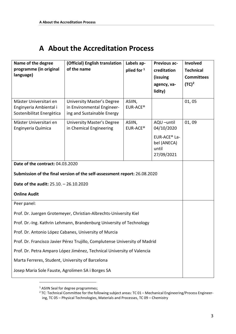## <span id="page-2-0"></span>**A About the Accreditation Process**

| Name of the degree                                                            | (Official) English translation                                                         | Labels ap-                     | <b>Previous ac-</b>     | Involved          |  |  |  |  |
|-------------------------------------------------------------------------------|----------------------------------------------------------------------------------------|--------------------------------|-------------------------|-------------------|--|--|--|--|
| programme (in original                                                        | of the name                                                                            | plied for 1                    | creditation             | <b>Technical</b>  |  |  |  |  |
| language)                                                                     |                                                                                        |                                | (issuing                | <b>Committees</b> |  |  |  |  |
|                                                                               |                                                                                        |                                | agency, va-             | $(TC)^2$          |  |  |  |  |
|                                                                               |                                                                                        |                                | lidity)                 |                   |  |  |  |  |
| Màster Universitari en<br>Enginyeria Ambiental i<br>Sostenibilitat Energètica | University Master's Degree<br>in Environmental Engineer-<br>ing and Sustainable Energy | ASIIN,<br>EUR-ACE <sup>®</sup> |                         | 01,05             |  |  |  |  |
| Màster Universitari en<br>Enginyeria Química                                  | <b>University Master's Degree</b><br>in Chemical Engineering                           | ASIIN,<br>EUR-ACE <sup>®</sup> | AQU-until<br>04/10/2020 | 01,09             |  |  |  |  |
|                                                                               |                                                                                        |                                |                         |                   |  |  |  |  |
| Date of the contract: 04.03.2020                                              |                                                                                        |                                |                         |                   |  |  |  |  |
|                                                                               | Submission of the final version of the self-assessment report: 26.08.2020              |                                |                         |                   |  |  |  |  |
| Date of the audit: 25.10. - 26.10.2020                                        |                                                                                        |                                |                         |                   |  |  |  |  |
| <b>Online Audit</b>                                                           |                                                                                        |                                |                         |                   |  |  |  |  |
| Peer panel:                                                                   |                                                                                        |                                |                         |                   |  |  |  |  |
|                                                                               | Prof. Dr. Juergen Grotemeyer, Christian-Albrechts-University Kiel                      |                                |                         |                   |  |  |  |  |
|                                                                               | Prof. Dr.-Ing. Kathrin Lehmann, Brandenburg University of Technology                   |                                |                         |                   |  |  |  |  |
|                                                                               | Prof. Dr. Antonio López Cabanes, University of Murcia                                  |                                |                         |                   |  |  |  |  |
| Prof. Dr. Francisco Javier Pérez Trujillo, Complutense University of Madrid   |                                                                                        |                                |                         |                   |  |  |  |  |
| Prof. Dr. Petra Amparo López Jiménez, Technical University of Valencia        |                                                                                        |                                |                         |                   |  |  |  |  |
| Marta Ferreres, Student, University of Barcelona                              |                                                                                        |                                |                         |                   |  |  |  |  |
| Josep Maria Sole Fauste, Agrolimen SA i Borges SA                             |                                                                                        |                                |                         |                   |  |  |  |  |

<span id="page-2-1"></span><sup>&</sup>lt;sup>1</sup> ASIIN Seal for degree programmes;

 $\overline{a}$ 

<span id="page-2-2"></span><sup>&</sup>lt;sup>2</sup> TC: Technical Committee for the following subject areas: TC 01 – Mechanical Engineering/Process Engineering, TC 05 – Physical Technologies, Materials and Processes, TC 09 – Chemistry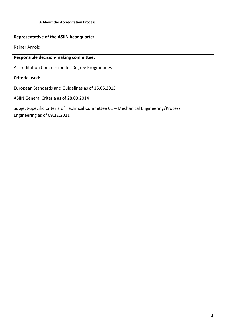| <b>Representative of the ASIIN headquarter:</b>                                      |  |
|--------------------------------------------------------------------------------------|--|
| Rainer Arnold                                                                        |  |
| <b>Responsible decision-making committee:</b>                                        |  |
| <b>Accreditation Commission for Degree Programmes</b>                                |  |
| Criteria used:                                                                       |  |
| European Standards and Guidelines as of 15.05.2015                                   |  |
| ASIIN General Criteria as of 28.03.2014                                              |  |
| Subject-Specific Criteria of Technical Committee 01 - Mechanical Engineering/Process |  |
| Engineering as of 09.12.2011                                                         |  |
|                                                                                      |  |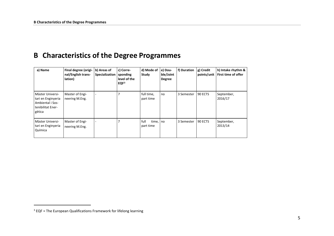### <span id="page-4-1"></span>**B Characteristics of the Degree Programmes**

| a) Name                                                                                   | Final degree (origi-<br>nal/English trans-<br>lation) | b) Areas of<br>Specialization | c) Corre-<br>sponding<br>level of the<br>EQF <sup>3</sup> | d) Mode of<br>Study        | e) Dou-<br>ble/Joint<br><b>Degree</b> | f) Duration | g) Credit<br>points/unit | h) Intake rhythm &<br>First time of offer |
|-------------------------------------------------------------------------------------------|-------------------------------------------------------|-------------------------------|-----------------------------------------------------------|----------------------------|---------------------------------------|-------------|--------------------------|-------------------------------------------|
| Màster Universi-<br>tari en Enginyeria<br>Ambiental i Sos-<br>tenibilitat Ener-<br>gètica | Master of Engi-<br>neering M.Eng.                     |                               |                                                           | full time,<br>part time    | no                                    | 3 Semester  | 90 ECTS                  | September,<br>2016/17                     |
| Màster Universi-<br>tari en Enginyeria<br>Química                                         | Master of Engi-<br>neering M.Eng.                     |                               |                                                           | full<br>time,<br>part time | . I no                                | 3 Semester  | 90 ECTS                  | September,<br>2013/14                     |

<span id="page-4-0"></span>-

 $3$  EQF = The European Qualifications Framework for lifelong learning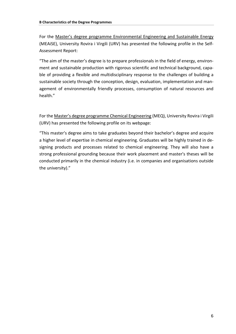For the Master's degree programme Environmental Engineering and Sustainable Energy (MEAiSE), University Rovira i Virgili (URV) has presented the following profile in the Self-Assessment Report:

"The aim of the master's degree is to prepare professionals in the field of energy, environment and sustainable production with rigorous scientific and technical background, capable of providing a flexible and multidisciplinary response to the challenges of building a sustainable society through the conception, design, evaluation, implementation and management of environmentally friendly processes, consumption of natural resources and health."

For the Master's degree programme Chemical Engineering (MEQ), University Rovira i Virgili (URV) has presented the following profile on its webpage:

"This master's degree aims to take graduates beyond their bachelor's degree and acquire a higher level of expertise in chemical engineering. Graduates will be highly trained in designing products and processes related to chemical engineering. They will also have a strong professional grounding because their work placement and master's theses will be conducted primarily in the chemical industry (i.e. in companies and organisations outside the university)."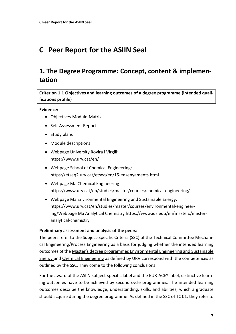### <span id="page-6-0"></span>**C Peer Report for the ASIIN Seal**

### <span id="page-6-1"></span>**1. The Degree Programme: Concept, content & implementation**

**Criterion 1.1 Objectives and learning outcomes of a degree programme (intended qualifications profile)**

#### **Evidence:**

- Objectives-Module-Matrix
- Self-Assessment Report
- Study plans
- Module descriptions
- Webpage University Rovira i Virgili: https://www.urv.cat/en/
- Webpage School of Chemical Engineering: https://etseq2.urv.cat/etseq/en/15-ensenyaments.html
- Webpage Ma Chemical Engineering: https://www.urv.cat/en/studies/master/courses/chemical-engineering/
- Webpage Ma Environmental Engineering and Sustainable Energy: https://www.urv.cat/en/studies/master/courses/environmental-engineering/Webpage Ma Analytical Chemistry https://www.iqs.edu/en/masters/masteranalytical-chemistry

#### **Preliminary assessment and analysis of the peers:**

The peers refer to the Subject-Specific Criteria (SSC) of the Technical Committee Mechanical Engineering/Process Engineering as a basis for judging whether the intended learning outcomes of the Master's degree programmes Environmental Engineering and Sustainable Energy and Chemical Engineering as defined by URV correspond with the competences as outlined by the SSC. They come to the following conclusions:

For the award of the ASIIN subject-specific label and the EUR-ACE® label, distinctive learning outcomes have to be achieved by second cycle programmes. The intended learning outcomes describe the knowledge, understanding, skills, and abilities, which a graduate should acquire during the degree programme. As defined in the SSC of TC 01, they refer to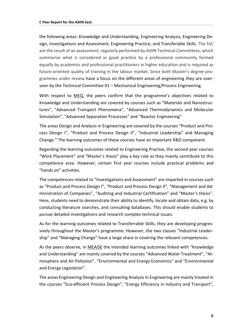the following areas: Knowledge and Understanding, Engineering Analysis, Engineering Design, Investigations and Assessment, Engineering Practice, and Transferable Skills. The SSC are the result of an assessment, regularly performed by ASIIN Technical Committees, which summarise what is considered as good practice by a professional community formed equally by academics and professional practitioners in higher education and is required as future-oriented quality of training in the labour market. Since both Master's degree programmes under review have a focus on the different areas of engineering they are overseen by the Technical Committee 01 – Mechanical Engineering/Process Engineering.

With respect to MEQ, the peers confirm that the programme's objectives related to Knowledge and Understanding are covered by courses such as "Materials and Nanostructures", "Advanced Transport Phenomena", "Advanced Thermodynamics and Molecular Simulation", "Advanced Separation Processes" and "Reactor Engineering"

The areas Design and Analysis in Engineering are covered by the courses "Product and Process Design I", "Product and Process Design II", "Industrial Leadership" and Managing Change." The learning outcomes of these courses have an important R&D component.

Regarding the learning outcomes related to Engineering Practise, the second year courses "Work Placement" and "Master's thesis" play a key role as they mainly contribute to this competence area. However, certain first year courses include practical problems and "hands on" activities.

The competences related to "Investigations and Assessment" are imparted in courses such as "Product and Process Design I", "Product and Process Design II", "Management and Administration of Companies", "Auditing and Industrial Certification" and "Master's thesis". Here, students need to demonstrate their ability to identify, locate and obtain data, e.g. by conducting literature searches, and consulting databases. This should enable students to pursue detailed investigations and research complex technical issues.

As for the learning outcomes related to Transferrable Skills, they are developing progressively throughout the Master's programme. However, the two classes "Industrial Leadership" and "Managing Change" have a large share in covering the relevant competences.

As the peers observe, in MEAiSE the intended learning outcomes linked with "Knowledge and Understanding" are mainly covered by the courses "Advanced Water Treatment", "Atmosphere and Air Pollution", "Environmental and Energy Economics" and "Environmental and Energy Legislation".

The areas Engineering Design and Engineering Analysis in Engineering are mainly treated in the courses "Eco-efficient Process Design", "Energy Efficiency in Industry and Transport",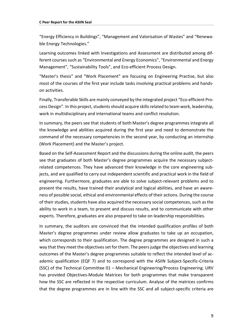"Energy Efficiency in Buildings", "Management and Valorisation of Wastes" and "Renewable Energy Technologies."

Learning outcomes linked with Investigations and Assessment are distributed among different courses such as "Environmental and Energy Economics", "Environmental and Energy Management", "Sustainability Tools", and Eco-efficient Process Design.

"Master's thesis" and "Work Placement" are focusing on Engineering Practise, but also most of the courses of the first year include tasks involving practical problems and handson activities.

Finally, Transferable Skills are mainly conveyed by the integrated project "Eco-efficient Process Design". In this project, students should acquire skills related to team work, leadership, work in multidisciplinary and international teams and conflict resolution.

In summary, the peers see that students of both Master's degree programmes integrate all the knowledge and abilities acquired during the first year and need to demonstrate the command of the necessary competencies in the second year, by conducting an internship (Work Placement) and the Master's project.

Based on the Self-Assessment Report and the discussions during the online audit, the peers see that graduates of both Master's degree programmes acquire the necessary subjectrelated competences. They have advanced their knowledge in the core engineering subjects, and are qualified to carry out independent scientific and practical work in the field of engineering. Furthermore, graduates are able to solve subject-relevant problems and to present the results, have trained their analytical and logical abilities, and have an awareness of possible social, ethical and environmental effects of their actions. During the course of their studies, students have also acquired the necessary social competences, such as the ability to work in a team, to present and discuss results, and to communicate with other experts. Therefore, graduates are also prepared to take on leadership responsibilities.

In summary, the auditors are convinced that the intended qualification profiles of both Master's degree programmes under review allow graduates to take up an occupation, which corresponds to their qualification. The degree programmes are designed in such a way that they meet the objectives set for them. The peers judge the objectives and learning outcomes of the Master's degree programmes suitable to reflect the intended level of academic qualification (EQF 7) and to correspond with the ASIIN Subject-Specific-Criteria (SSC) of the Technical Committee 01 – Mechanical Engineering/Process Engineering. URV has provided Objectives-Module Matrices for both programmes that make transparent how the SSC are reflected in the respective curriculum. Analyse of the matrices confirms that the degree programmes are in line with the SSC and all subject-specific criteria are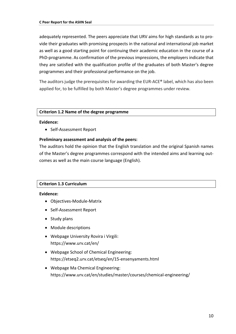adequately represented. The peers appreciate that URV aims for high standards as to provide their graduates with promising prospects in the national and international job market as well as a good starting point for continuing their academic education in the course of a PhD-programme. As confirmation of the previous impressions, the employers indicate that they are satisfied with the qualification profile of the graduates of both Master's degree programmes and their professional performance on the job.

The auditors judge the prerequisites for awarding the EUR-ACE® label, which has also been applied for, to be fulfilled by both Master's degree programmes under review.

#### **Criterion 1.2 Name of the degree programme**

#### **Evidence:**

• Self-Assessment Report

#### **Preliminary assessment and analysis of the peers:**

The auditors hold the opinion that the English translation and the original Spanish names of the Master's degree programmes correspond with the intended aims and learning outcomes as well as the main course language (English).

#### **Criterion 1.3 Curriculum**

#### **Evidence:**

- Objectives-Module-Matrix
- Self-Assessment Report
- Study plans
- Module descriptions
- Webpage University Rovira i Virgili: https://www.urv.cat/en/
- Webpage School of Chemical Engineering: https://etseq2.urv.cat/etseq/en/15-ensenyaments.html
- Webpage Ma Chemical Engineering: https://www.urv.cat/en/studies/master/courses/chemical-engineering/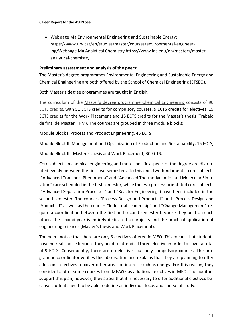• Webpage Ma Environmental Engineering and Sustainable Energy: https://www.urv.cat/en/studies/master/courses/environmental-engineering/Webpage Ma Analytical Chemistry https://www.iqs.edu/en/masters/masteranalytical-chemistry

#### **Preliminary assessment and analysis of the peers:**

The Master's degree programmes Environmental Engineering and Sustainable Energy and Chemical Engineering are both offered by the School of Chemical Engineering (ETSEQ).

Both Master's degree programmes are taught in English.

The curriculum of the Master's degree programme Chemical Engineering consists of 90 ECTS credits, with 51 ECTS credits for compulsory courses, 9 ECTS credits for electives, 15 ECTS credits for the Work Placement and 15 ECTS credits for the Master's thesis (Trabajo de final de Master, TFM). The courses are grouped in three module blocks:

Module Block I: Process and Product Engineering, 45 ECTS;

Module Block II: Management and Optimization of Production and Sustainability, 15 ECTS;

Module Block III: Master's thesis and Work Placement, 30 ECTS.

Core subjects in chemical engineering and more specific aspects of the degree are distributed evenly between the first two semesters. To this end, two fundamental core subjects ("Advanced Transport Phenomena" and "Advanced Thermodynamics and Molecular Simulation") are scheduled in the first semester, while the two process orientated core subjects ("Advanced Separation Processes" and "Reactor Engineering") have been included in the second semester. The courses "Process Design and Products I" and "Process Design and Products II" as well as the courses "Industrial Leadership" and "Change Management" require a coordination between the first and second semester because they built on each other. The second year is entirely dedicated to projects and the practical application of engineering sciences (Master's thesis and Work Placement).

The peers notice that there are only 3 electives offered in MEQ. This means that students have no real choice because they need to attend all three elective in order to cover a total of 9 ECTS. Consequently, there are no electives but only compulsory courses. The programme coordinator verifies this observation and explains that they are planning to offer additional electives to cover other areas of interest such as energy. For this reason, they consider to offer some courses from MEAiSE as additional electives in MEQ. The auditors support this plan, however, they stress that it is necessary to offer additional electives because students need to be able to define an individual focus and course of study.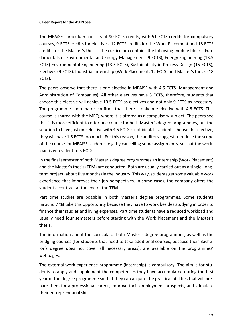The MEAiSE curriculum consists of 90 ECTS credits, with 51 ECTS credits for compulsory courses, 9 ECTS credits for electives, 12 ECTS credits for the Work Placement and 18 ECTS credits for the Master's thesis. The curriculum contains the following module blocks: Fundamentals of Environmental and Energy Management (9 ECTS), Energy Engineering (13.5 ECTS) Environmental Engineering (13.5 ECTS), Sustainability in Process Design (15 ECTS), Electives (9 ECTS), Industrial Internship (Work Placement, 12 ECTS) and Master's thesis (18 ECTS).

The peers observe that there is one elective in MEAiSE with 4.5 ECTS (Management and Administration of Companies). All other electives have 3 ECTS, therefore, students that choose this elective will achieve 10.5 ECTS as electives and not only 9 ECTS as necessary. The programme coordinator confirms that there is only one elective with 4.5 ECTS. This course is shared with the MEQ, where it is offered as a compulsory subject. The peers see that it is more efficient to offer one course for both Master's degree programmes, but the solution to have just one elective with 4.5 ECTS is not ideal. If students choose this elective, they will have 1.5 ECTS too much. For this reason, the auditors suggest to reduce the scope of the course for MEAiSE students, e.g. by cancelling some assignments, so that the workload is equivalent to 3 ECTS.

In the final semester of both Master's degree programmes an internship (Work Placement) and the Master's thesis (TFM) are conducted. Both are usually carried out as a single, longterm project (about five months) in the industry. This way, students get some valuable work experience that improves their job perspectives. In some cases, the company offers the student a contract at the end of the TFM.

Part time studies are possible in both Master's degree programmes. Some students (around 7 %) take this opportunity because they have to work besides studying in order to finance their studies and living expenses. Part time students have a reduced workload and usually need four semesters before starting with the Work Placement and the Master's thesis.

The information about the curricula of both Master's degree programmes, as well as the bridging courses (for students that need to take additional courses, because their Bachelor's degree does not cover all necessary areas), are available on the programmes' webpages.

The external work experience programme (internship) is compulsory. The aim is for students to apply and supplement the competences they have accumulated during the first year of the degree programme so that they can acquire the practical abilities that will prepare them for a professional career, improve their employment prospects, and stimulate their entrepreneurial skills.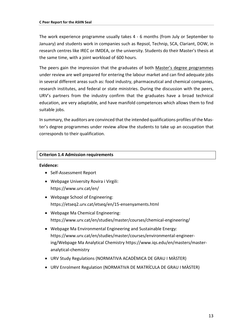The work experience programme usually takes 4 - 6 months (from July or September to January) and students work in companies such as Repsol, Technip, SCA, Clariant, DOW, in research centres like IREC or IMDEA, or the university. Students do their Master's thesis at the same time, with a joint workload of 600 hours.

The peers gain the impression that the graduates of both Master's degree programmes under review are well prepared for entering the labour market and can find adequate jobs in several different areas such as: food industry, pharmaceutical and chemical companies, research institutes, and federal or state ministries. During the discussion with the peers, URV's partners from the industry confirm that the graduates have a broad technical education, are very adaptable, and have manifold competences which allows them to find suitable jobs.

In summary, the auditors are convinced that the intended qualifications profiles of the Master's degree programmes under review allow the students to take up an occupation that corresponds to their qualification.

#### **Criterion 1.4 Admission requirements**

#### **Evidence:**

- Self-Assessment Report
- Webpage University Rovira i Virgili: https://www.urv.cat/en/
- Webpage School of Engineering: https://etseq2.urv.cat/etseq/en/15-ensenyaments.html
- Webpage Ma Chemical Engineering: https://www.urv.cat/en/studies/master/courses/chemical-engineering/
- Webpage Ma Environmental Engineering and Sustainable Energy: https://www.urv.cat/en/studies/master/courses/environmental-engineering/Webpage Ma Analytical Chemistry https://www.iqs.edu/en/masters/masteranalytical-chemistry
- URV Study Regulations (NORMATIVA ACADÈMICA DE GRAU I MÀSTER)
- URV Enrolment Regulation (NORMATIVA DE MATRÍCULA DE GRAU I MÀSTER)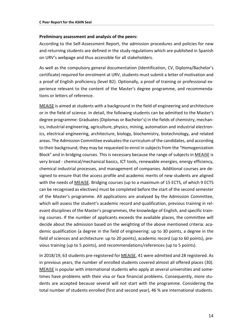#### **Preliminary assessment and analysis of the peers:**

According to the Self-Assessment Report, the admission procedures and policies for new and returning students are defined in the study regulations which are published in Spanish on URV's webpage and thus accessible for all stakeholders.

As well as the compulsory general documentation (Identification, CV, Diploma/Bachelor's certificate) required for enrolment at URV, students must submit a letter of motivation and a proof of English proficiency (level B2). Optionally, a proof of training or professional experience relevant to the content of the Master's degree programme, and recommendations or letters of reference.

MEAiSE is aimed at students with a background in the field of engineering and architecture or in the field of science. In detail, the following students can be admitted to the Master's degree programme: Graduates (Diplomas or Bachelor's) in the fields of chemistry, mechanics, industrial engineering, agriculture, physics, mining, automation and industrial electronics, electrical engineering, architecture, biology, biochemistry, biotechnology, and related areas. The Admission Committee evaluates the curriculum of the candidates, and according to their background, they may be requested to enrol in subjects from the "Homogenization Block" and in bridging courses. This is necessary because the range of subjects in MEAiSE is very broad - chemical/mechanical basics, ICT tools, renewable energies, energy efficiency, chemical industrial processes, and management of companies. Additional courses are designed to ensure that the access profile and academic merits of new students are aligned with the needs of MEAiSE. Bridging courses (up to a maximum of 15 ECTS, of which 9 ECTS can be recognised as electives) must be completed before the start of the second semester of the Master's programme. All applications are analysed by the Admission Committee, which will assess the student's academic record and qualification, previous training in relevant disciplines of the Master's programmes, the knowledge of English, and specific training courses. If the number of applicants exceeds the available places, the committee will decide about the admission based on the weighting of the above mentioned criteria: academic qualification (a degree in the field of engineering: up to 30 points, a degree in the field of sciences and architecture: up to 20 points), academic record (up to 60 points), previous training (up to 5 points), and recommendations/references (up to 5 points).

In 2018/19, 63 students pre-registered for MEAiSE, 41 were admitted and 28 registered. As in previous years, the number of enrolled students covered almost all offered places (30). MEAiSE is popular with international students who apply at several universities and sometimes have problems with their visa or face financial problems. Consequently, more students are accepted because several will not start with the programme. Considering the total number of students enrolled (first and second year), 46 % are international students.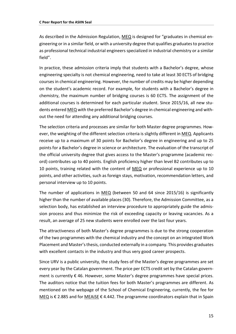As described in the Admission Regulation, MEQ is designed for "graduates in chemical engineering or in a similar field, or with a university degree that qualifies graduates to practice as professional technical industrial engineers specialized in industrial chemistry or a similar field".

In practice, these admission criteria imply that students with a Bachelor's degree, whose engineering specialty is not chemical engineering, need to take at least 30 ECTS of bridging courses in chemical engineering. However, the number of credits may be higher depending on the student's academic record. For example, for students with a Bachelor's degree in chemistry, the maximum number of bridging courses is 60 ECTS. The assignment of the additional courses is determined for each particular student. Since 2015/16, all new students entered MEQ with the preferred Bachelor's degree in chemical engineering and without the need for attending any additional bridging courses.

The selection criteria and processes are similar for both Master degree programmes. However, the weighting of the different selection criteria is slightly different in MEQ. Applicants receive up to a maximum of 30 points for Bachelor's degree in engineering and up to 25 points for a Bachelor's degree in science or architecture. The evaluation of the transcript of the official university degree that gives access to the Master's programme (academic record) contributes up to 40 points. English proficiency higher than level B2 contributes up to 10 points, training related with the content of MEQ or professional experience up to 10 points, and other activities, such as foreign stays, motivation, recommendation letters, and personal interview up to 10 points.

The number of applications in MEQ (between 50 and 64 since 2015/16) is significantly higher than the number of available places (30). Therefore, the Admission Committee, as a selection body, has established an interview procedure to appropriately guide the admission process and thus minimize the risk of exceeding capacity or leaving vacancies. As a result, an average of 25 new students were enrolled over the last four years.

The attractiveness of both Master's degree programmes is due to the strong cooperation of the two programmes with the chemical industry and the concept on an integrated Work Placement and Master's thesis, conducted externally in a company. This provides graduates with excellent contacts in the industry and thus very good career prospects.

Since URV is a public university, the study fees of the Master's degree programmes are set every year by the Catalan government. The price per ECTS credit set by the Catalan government is currently € 46. However, some Master's degree programmes have special prices. The auditors notice that the tuition fees for both Master's programmes are different. As mentioned on the webpage of the School of Chemical Engineering, currently, the fee for MEQ is € 2.885 and for MEAISE € 4.442. The programme coordinators explain that in Spain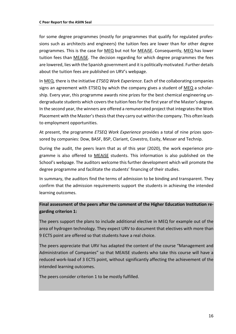for some degree programmes (mostly for programmes that qualify for regulated professions such as architects and engineers) the tuition fees are lower than for other degree programmes. This is the case for MEQ but not for MEAiSE. Consequently, MEQ has lower tuition fees than MEAiSE. The decision regarding for which degree programmes the fees are lowered, lies with the Spanish government and it is politically motivated. Further details about the tuition fees are published on URV's webpage.

In MEQ, there is the initiative *ETSEQ Work Experience*. Each of the collaborating companies signs an agreement with ETSEQ by which the company gives a student of MEQ a scholarship. Every year, this programme awards nine prizes for the best chemical engineering undergraduate students which covers the tuition fees for the first year of the Master's degree. In the second year, the winners are offered a remunerated project that integrates the Work Placement with the Master's thesis that they carry out within the company. This often leads to employment opportunities.

At present, the programme *ETSEQ Work Experience* provides a total of nine prizes sponsored by companies: Dow, BASF, BSP, Clariant, Covestro, Essity, Messer and Technip.

During the audit, the peers learn that as of this year (2020), the work experience programme is also offered to MEAiSE students. This information is also published on the School's webpage. The auditors welcome this further development which will promote the degree programme and facilitate the students' financing of their studies.

In summary, the auditors find the terms of admission to be binding and transparent. They confirm that the admission requirements support the students in achieving the intended learning outcomes.

#### **Final assessment of the peers after the comment of the Higher Education Institution regarding criterion 1:**

The peers support the plans to include additional elective in MEQ for example out of the area of hydrogen technology. They expect URV to document that electives with more than 9 ECTS point are offered so that students have a real choice.

The peers appreciate that URV has adapted the content of the course "Management and Administration of Companies" so that MEAISE students who take this course will have a reduced work-load of 3 ECTS point, without significantly affecting the achievement of the intended learning outcomes.

The peers consider criterion 1 to be mostly fulfilled.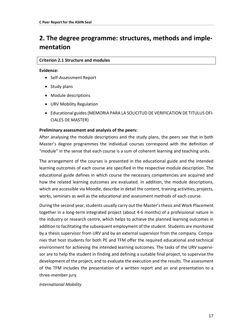### <span id="page-16-0"></span>**2. The degree programme: structures, methods and implementation**

#### **Criterion 2.1 Structure and modules**

#### **Evidence:**

- Self-Assessment Report
- Study plans
- Module descriptions
- URV Mobility Regulation
- Educational guides (MEMORIA PARA LA SOLICITUD DE VERIFICATION DE TITULUS OFI-CIALES DE MASTER)

#### **Preliminary assessment and analysis of the peers:**

After analysing the module descriptions and the study plans, the peers see that in both Master's degree programmes the individual courses correspond with the definition of "module" in the sense that each course is a sum of coherent learning and teaching units.

The arrangement of the courses is presented in the educational guide and the intended learning outcomes of each course are specified in the respective module description. The educational guide defines in which course the necessary competencies are acquired and how the related learning outcomes are evaluated. In addition, the module descriptions, which are accessible via Moodle, describe in detail the content, training activities, projects, works, seminars as well as the educational and assessment methods of each course.

During the second year, students usually carry out the Master's thesis and Work Placement together in a long-term integrated project (about 4-6 months) of a professional nature in the industry or research centre, which helps to achieve the planned learning outcomes in addition to facilitating the subsequent employment of the student. Students are monitored by a thesis supervisor from URV and by an external supervisor from the company. Companies that host students for both PE and TFM offer the required educational and technical environment for achieving the intended learning outcomes. The tasks of the URV supervisor are to help the student in finding and defining a suitable final project, to supervise the development of the project, and to evaluate the execution and the results. The assessment of the TFM includes the presentation of a written report and an oral presentation to a three-member jury.

*International Mobility*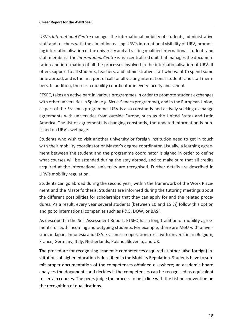URV's *International Centre* manages the international mobility of students, administrative staff and teachers with the aim of increasing URV's international visibility of URV, promoting internationalisation of the university and attracting qualified international students and staff members. The *International Centre* is as a centralised unit that manages the documentation and information of all the processes involved in the internationalisation of URV. It offers support to all students, teachers, and administrative staff who want to spend some time abroad, and is the first port of call for all visiting international students and staff members. In addition, there is a mobility coordinator in every faculty and school.

ETSEQ takes an active part in various programmes in order to promote student exchanges with other universities in Spain (e.g. Sicue-Seneca programme), and in the European Union, as part of the Erasmus programme. URV is also constantly and actively seeking exchange agreements with universities from outside Europe, such as the United States and Latin America. The list of agreements is changing constantly, the updated information is published on URV's webpage.

Students who wish to visit another university or foreign institution need to get in touch with their mobility coordinator or Master's degree coordinator. Usually, a learning agreement between the student and the programme coordinator is signed in order to define what courses will be attended during the stay abroad, and to make sure that all credits acquired at the international university are recognised. Further details are described in URV's mobility regulation.

Students can go abroad during the second year, within the framework of the Work Placement and the Master's thesis. Students are informed during the tutoring meetings about the different possibilities for scholarships that they can apply for and the related procedures. As a result, every year several students (between 10 and 15 %) follow this option and go to international companies such as P&G, DOW, or BASF.

As described in the Self-Assessment Report, ETSEQ has a long tradition of mobility agreements for both incoming and outgoing students. For example, there are MoU with universities in Japan, Indonesia and USA. Erasmus co-operations exist with universities in Belgium, France, Germany, Italy, Netherlands, Poland, Slovenia, and UK.

The procedure for recognising academic competences acquired at other (also foreign) institutions of higher education is described in the Mobility Regulation. Students have to submit proper documentation of the competences obtained elsewhere; an academic board analyses the documents and decides if the competences can be recognised as equivalent to certain courses. The peers judge the process to be in line with the Lisbon convention on the recognition of qualifications.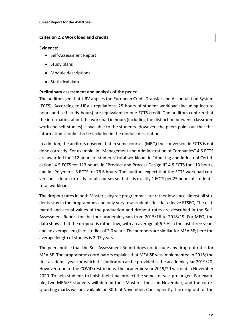#### **Criterion 2.2 Work load and credits**

#### **Evidence:**

- Self-Assessment Report
- Study plans
- Module descriptions
- Statistical data

#### **Preliminary assessment and analysis of the peers:**

The auditors see that URV applies the European Credit Transfer and Accumulation System (ECTS). According to URV's regulations, 25 hours of student workload (including lecture hours and self-study hours) are equivalent to one ECTS credit. The auditors confirm that the information about the workload in hours (including the distinction between classroom work and self-studies) is available to the students. However, the peers point out that this information should also be included in the module descriptions.

In addition, the auditors observe that in some courses (MEQ) the conversion in ECTS is not done correctly. For example, in "Management and Administration of Companies" 4.5 ECTS are awarded for 112 hours of students' total workload, in "Auditing and Industrial Certification" 4.5 ECTS for 113 hours, in "Product and Process Design II" 4.5 ECTS for 113 hours, and in "Polymers" 3 ECTS for 76.6 hours. The auditors expect that the ECTS workload conversion is done correctly for all courses so that it is exactly 1 ECTS per 25 hours of students' total workload.

The dropout rates in both Master's degree programmes are rather low since almost all students stay in the programmes and only very few students decide to leave ETSEQ. The estimated and actual values of the graduation and dropout rates are described in the Self-Assessment Report for the four academic years from 2015/16 to 2018/19. For MEQ, the data shows that the dropout is rather low, with an average of 6.5 % in the last three years and an average length of studies of 2.0 years. The numbers are similar for MEAiSE; here the average length of studies is 2.07 years.

The peers notice that the Self-Assessment Report does not include any drop-out rates for MEAiSE. The programme coordinators explains that MEAiSE was implemented in 2016; the first academic year for which this indicator can be provided is the academic year 2019/20. However, due to the COVID restrictions, the academic year 2019/20 will end in November 2020. To help students to finish their final project the semester was prolonged. For example, two MEAiSE students will defend their Master's thesis in November, and the corresponding marks will be available on 30th of November. Consequently, the drop-out for the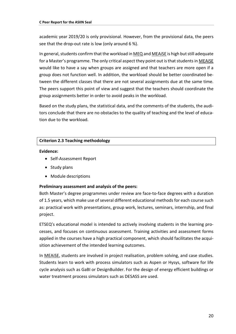academic year 2019/20 is only provisional. However, from the provisional data, the peers see that the drop-out rate is low (only around 6 %).

In general, students confirm that the workload in MEQ and MEAiSE is high but still adequate for a Master's programme. The only critical aspect they point out is that students in MEAiSE would like to have a say when groups are assigned and that teachers are more open if a group does not function well. In addition, the workload should be better coordinated between the different classes that there are not several assignments due at the same time. The peers support this point of view and suggest that the teachers should coordinate the group assignments better in order to avoid peaks in the workload.

Based on the study plans, the statistical data, and the comments of the students, the auditors conclude that there are no obstacles to the quality of teaching and the level of education due to the workload.

#### **Criterion 2.3 Teaching methodology**

#### **Evidence:**

- Self-Assessment Report
- Study plans
- Module descriptions

#### **Preliminary assessment and analysis of the peers:**

Both Master's degree programmes under review are face-to-face degrees with a duration of 1.5 years, which make use of several different educational methods for each course such as: practical work with presentations, group work, lectures, seminars, internship, and final project.

ETSEQ's educational model is intended to actively involving students in the learning processes, and focuses on continuous assessment. Training activities and assessment forms applied in the courses have a high practical component, which should facilitates the acquisition achievement of the intended learning outcomes.

In MEAiSE, students are involved in project realisation, problem solving, and case studies. Students learn to work with process simulators such as Aspen or Hysys, software for life cycle analysis such as GaBI or DesignBuilder. For the design of energy efficient buildings or water treatment process simulators such as DESASS are used.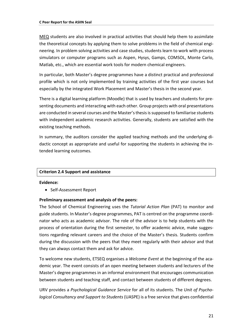MEQ students are also involved in practical activities that should help them to assimilate the theoretical concepts by applying them to solve problems in the field of chemical engineering. In problem solving activities and case studies, students learn to work with process simulators or computer programs such as Aspen, Hysys, Gamps, COMSOL, Monte Carlo, Matlab, etc., which are essential work tools for modern chemical engineers.

In particular, both Master's degree programmes have a distinct practical and professional profile which is not only implemented by training activities of the first year courses but especially by the integrated Work Placement and Master's thesis in the second year.

There is a digital learning platform (Moodle) that is used by teachers and students for presenting documents and interacting with each other. Group projects with oral presentations are conducted in several courses and the Master's thesis is supposed to familiarise students with independent academic research activities. Generally, students are satisfied with the existing teaching methods.

In summary, the auditors consider the applied teaching methods and the underlying didactic concept as appropriate and useful for supporting the students in achieving the intended learning outcomes.

#### **Criterion 2.4 Support and assistance**

#### **Evidence:**

• Self-Assessment Report

#### **Preliminary assessment and analysis of the peers:**

The School of Chemical Engineering uses the *Tutorial Action Plan* (PAT) to monitor and guide students. In Master's degree programmes, PAT is centred on the programme coordinator who acts as academic advisor. The role of the advisor is to help students with the process of orientation during the first semester, to offer academic advice, make suggestions regarding relevant careers and the choice of the Master's thesis. Students confirm during the discussion with the peers that they meet regularly with their advisor and that they can always contact them and ask for advice.

To welcome new students, ETSEQ organises a *Welcome Event* at the beginning of the academic year. The event consists of an open meeting between students and lecturers of the Master's degree programmes in an informal environment that encourages communication between students and teaching staff, and contact between students of different degrees.

URV provides a *Psychological Guidance Service* for all of its students. The *Unit of Psychological Consultancy and Support to Students* (UASPE) is a free service that gives confidential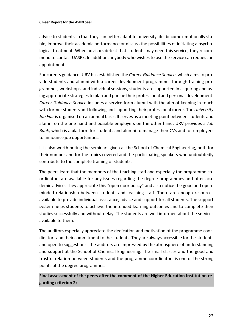advice to students so that they can better adapt to university life, become emotionally stable, improve their academic performance or discuss the possibilities of initiating a psychological treatment. When advisors detect that students may need this service, they recommend to contact UASPE. In addition, anybody who wishes to use the service can request an appointment.

For careers guidance, URV has established the *Career Guidance Service*, which aims to provide students and alumni with a career development programme. Through training programmes, workshops, and individual sessions, students are supported in acquiring and using appropriate strategies to plan and pursue their professional and personal development. *Career Guidance Service* includes a service form alumni with the aim of keeping in touch with former students and following and supporting their professional career. The *University Job Fair* is organised on an annual basis. It serves as a meeting point between students and alumni on the one hand and possible employers on the other hand. URV provides a *Job Bank*, which is a platform for students and alumni to manage their CVs and for employers to announce job opportunities.

It is also worth noting the seminars given at the School of Chemical Engineering, both for their number and for the topics covered and the participating speakers who undoubtedly contribute to the complete training of students.

The peers learn that the members of the teaching staff and especially the programme coordinators are available for any issues regarding the degree programmes and offer academic advice. They appreciate this "open door policy" and also notice the good and openminded relationship between students and teaching staff. There are enough resources available to provide individual assistance, advice and support for all students. The support system helps students to achieve the intended learning outcomes and to complete their studies successfully and without delay. The students are well informed about the services available to them.

The auditors especially appreciate the dedication and motivation of the programme coordinators and their commitment to the students. They are always accessible for the students and open to suggestions. The auditors are impressed by the atmosphere of understanding and support at the School of Chemical Engineering. The small classes and the good and trustful relation between students and the programme coordinators is one of the strong points of the degree programmes.

**Final assessment of the peers after the comment of the Higher Education Institution regarding criterion 2:**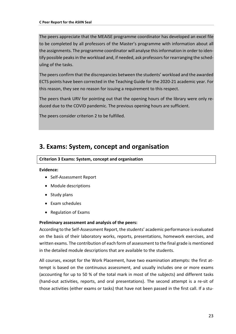The peers appreciate that the MEAiSE programme coordinator has developed an excel file to be completed by all professors of the Master's programme with information about all the assignments. The programme coordinator will analyse this information in order to identify possible peaks in the workload and, if needed, ask professors for rearranging the scheduling of the tasks.

The peers confirm that the discrepancies between the students' workload and the awarded ECTS points have been corrected in the Teaching Guide for the 2020-21 academic year. For this reason, they see no reason for issuing a requirement to this respect.

The peers thank URV for pointing out that the opening hours of the library were only reduced due to the COVID pandemic. The previous opening hours are sufficient.

The peers consider criterion 2 to be fulfilled.

### <span id="page-22-0"></span>**3. Exams: System, concept and organisation**

**Criterion 3 Exams: System, concept and organisation**

#### **Evidence:**

- Self-Assessment Report
- Module descriptions
- Study plans
- Exam schedules
- Regulation of Exams

#### **Preliminary assessment and analysis of the peers:**

According to the Self-Assessment Report, the students' academic performance is evaluated on the basis of their laboratory works, reports, presentations, homework exercises, and written exams. The contribution of each form of assessment to the final grade is mentioned in the detailed module descriptions that are available to the students.

All courses, except for the Work Placement, have two examination attempts: the first attempt is based on the continuous assessment, and usually includes one or more exams (accounting for up to 50 % of the total mark in most of the subjects) and different tasks (hand-out activities, reports, and oral presentations). The second attempt is a re-sit of those activities (either exams or tasks) that have not been passed in the first call. If a stu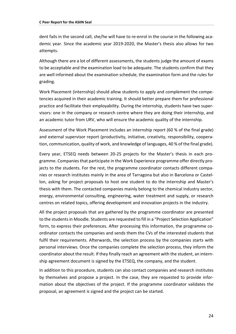dent fails in the second call, she/he will have to re-enrol in the course in the following academic year. Since the academic year 2019-2020, the Master's thesis also allows for two attempts.

Although there are a lot of different assessments, the students judge the amount of exams to be acceptable and the examination load to be adequate. The students confirm that they are well informed about the examination schedule, the examination form and the rules for grading.

Work Placement (internship) should allow students to apply and complement the competencies acquired in their academic training. It should better prepare them for professional practice and facilitate their employability. During the internship, students have two supervisors: one in the company or research centre where they are doing their internship, and an academic tutor from URV, who will ensure the academic quality of the internship.

Assessment of the Work Placement includes an internship report (60 % of the final grade) and external supervisor report (productivity, initiative, creativity, responsibility, cooperation, communication, quality of work, and knowledge of languages, 40 % of the final grade).

Every year, ETSEQ needs between 20-25 projects for the Master's thesis in each programme. Companies that participate in the Work Experience programme offer directly projects to the students. For the rest, the programme coordinator contacts different companies or research institutes mainly in the area of Tarragona but also in Barcelona or Castellon, asking for project proposals to host one student to do the internship and Master's thesis with them. The contacted companies mainly belong to the chemical industry sector, energy, environmental consulting, engineering, water treatment and supply, or research centres on related topics, offering development and innovation projects in the industry.

All the project proposals that are gathered by the programme coordinator are presented to the students in Moodle. Students are requested to fill in a "Project Selection Application" form, to express their preferences. After processing this information, the programme coordinator contacts the companies and sends them the CVs of the interested students that fulfil their requirements. Afterwards, the selection process by the companies starts with personal interviews. Once the companies complete the selection process, they inform the coordinator about the result. If they finally reach an agreement with the student, an internship agreement document is signed by the ETSEQ, the company, and the student.

In addition to this procedure, students can also contact companies and research institutes by themselves and propose a project. In the case, they are requested to provide information about the objectives of the project. If the programme coordinator validates the proposal, an agreement is signed and the project can be started.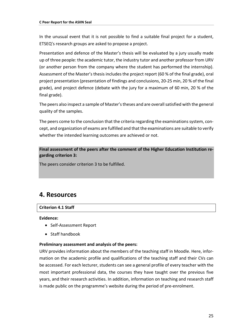In the unusual event that it is not possible to find a suitable final project for a student, ETSEQ's research groups are asked to propose a project.

Presentation and defence of the Master's thesis will be evaluated by a jury usually made up of three people: the academic tutor, the industry tutor and another professor from URV (or another person from the company where the student has performed the internship). Assessment of the Master's thesis includes the project report (60 % of the final grade), oral project presentation (presentation of findings and conclusions, 20-25 min, 20 % of the final grade), and project defence (debate with the jury for a maximum of 60 min, 20 % of the final grade).

The peers also inspect a sample of Master'stheses and are overall satisfied with the general quality of the samples.

The peers come to the conclusion that the criteria regarding the examinations system, concept, and organization of exams are fulfilled and that the examinations are suitable to verify whether the intended learning outcomes are achieved or not.

**Final assessment of the peers after the comment of the Higher Education Institution regarding criterion 3:**

The peers consider criterion 3 to be fulfilled.

### <span id="page-24-0"></span>**4. Resources**

#### **Criterion 4.1 Staff**

#### **Evidence:**

- Self-Assessment Report
- Staff handbook

#### **Preliminary assessment and analysis of the peers:**

URV provides information about the members of the teaching staff in Moodle. Here, information on the academic profile and qualifications of the teaching staff and their CVs can be accessed. For each lecturer, students can see a general profile of every teacher with the most important professional data, the courses they have taught over the previous five years, and their research activities. In addition, information on teaching and research staff is made public on the programme's website during the period of pre-enrolment.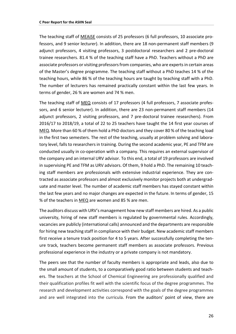The teaching staff of MEAiSE consists of 25 professors (6 full professors, 10 associate professors, and 9 senior lecturer). In addition, there are 18 non-permanent staff members (9 adjunct professors, 4 visiting professors, 3 postdoctoral researchers and 2 pre-doctoral trainee researchers. 81.4 % of the teaching staff have a PhD. Teachers without a PhD are associate professors or visiting professors from companies, who are experts in certain areas of the Master's degree programme. The teaching staff without a PhD teaches 14 % of the teaching hours, while 86 % of the teaching hours are taught by teaching staff with a PhD. The number of lecturers has remained practically constant within the last few years. In terms of gender, 26 % are women and 74 % men.

The teaching staff of MEQ consists of 17 professors (4 full professors, 7 associate professors, and 6 senior lecturer). In addition, there are 23 non-permanent staff members (14 adjunct professors, 2 visiting professors, and 7 pre-doctoral trainee researchers). From 2016/17 to 2018/19, a total of 22 to 25 teachers have taught the 14 first year courses of MEQ. More than 60 % of them hold a PhD doctors and they cover 80 % of the teaching load in the first two semesters. The rest of the teaching, usually at problem solving and laboratory level, falls to researchers in training. During the second academic year, PE and TFM are conducted usually in co-operation with a company. This requires an external supervisor of the company and an internal URV advisor. To this end, a total of 19 professors are involved in supervising PE and TFM as URV advisors. Of them, 9 hold a PhD. The remaining 10 teaching staff members are professionals with extensive industrial experience. They are contracted as associate professors and almost exclusively monitor projects both at undergraduate and master level. The number of academic staff members has stayed constant within the last few years and no major changes are expected in the future. In terms of gender, 15 % of the teachers in MEQ are women and 85 % are men.

The auditors discuss with URV's management how new staff members are hired. As a public university, hiring of new staff members is regulated by governmental rules. Accordingly, vacancies are publicly (international calls) announced and the departments are responsible for hiring new teaching staff in compliance with their budget. New academic staff members first receive a tenure track position for 4 to 5 years. After successfully completing the tenure track, teachers become permanent staff members as associate professors. Previous professional experience in the industry or a private company is not mandatory.

The peers see that the number of faculty members is appropriate and leads, also due to the small amount of students, to a comparatively good ratio between students and teachers. The teachers at the School of Chemical Engineering are professionally qualified and their qualification profiles fit well with the scientific focus of the degree programmes. The research and development activities correspond with the goals of the degree programmes and are well integrated into the curricula. From the auditors' point of view, there are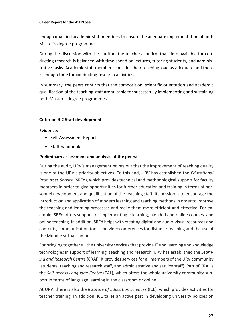enough qualified academic staff members to ensure the adequate implementation of both Master's degree programmes.

During the discussion with the auditors the teachers confirm that time available for conducting research is balanced with time spend on lectures, tutoring students, and administrative tasks. Academic staff members consider their teaching load as adequate and there is enough time for conducting research activities.

In summary, the peers confirm that the composition, scientific orientation and academic qualification of the teaching staff are suitable for successfully implementing and sustaining both Master's degree programmes.

#### **Criterion 4.2 Staff development**

#### **Evidence:**

- Self-Assessment Report
- Staff handbook

#### **Preliminary assessment and analysis of the peers:**

During the audit, URV's management points out that the improvement of teaching quality is one of the URV's priority objectives. To this end, URV has established the *Educational Resources Service* (SREd), which provides technical and methodological support for faculty members in order to give opportunities for further education and training in terms of personnel development and qualification of the teaching staff. Its mission is to encourage the introduction and application of modern learning and teaching methods in order to improve the teaching and learning processes and make them more efficient and effective. For example, SREd offers support for implementing e-learning, blended and online courses, and online teaching. In addition, SREd helps with creating digital and audio-visual resources and contents, communication tools and videoconferences for distance-teaching and the use of the Moodle virtual campus.

For bringing together all the university services that provide IT and learning and knowledge technologies in support of learning, teaching and research, URV has established the *Learning and Research Centre* (CRAI). It provides services for all members of the URV community (students, teaching and research staff, and administrative and service staff). Part of CRAI is the *Self-access Language Centre* (EAL), which offers the whole university community support in terms of language learning in the classroom or online.

At URV, there is also the *Institute of Education Sciences* (ICE), which provides activities for teacher training. In addition, ICE takes an active part in developing university policies on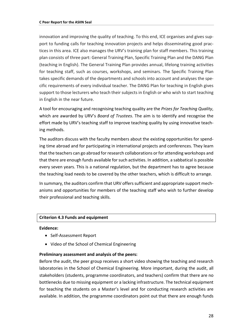innovation and improving the quality of teaching. To this end, ICE organises and gives support to funding calls for teaching innovation projects and helps disseminating good practices in this area. ICE also manages the URV's training plan for staff members. This training plan consists of three part: General Training Plan, Specific Training Plan and the DANG Plan (teaching in English). The General Training Plan provides annual, lifelong training activities for teaching staff, such as courses, workshops, and seminars. The Specific Training Plan takes specific demands of the departments and schools into account and analyses the specific requirements of every individual teacher. The DANG Plan for teaching in English gives support to those lecturers who teach their subjects in English or who wish to start teaching in English in the near future.

A tool for encouraging and recognising teaching quality are the *Prizes for Teaching Quality*, which are awarded by URV's *Board of Trustees*. The aim is to identify and recognise the effort made by URV's teaching staff to improve teaching quality by using innovative teaching methods.

The auditors discuss with the faculty members about the existing opportunities for spending time abroad and for participating in international projects and conferences. They learn that the teachers can go abroad for research collaborations or for attending workshops and that there are enough funds available for such activities. In addition, a sabbatical is possible every seven years. This is a national regulation, but the department has to agree because the teaching load needs to be covered by the other teachers, which is difficult to arrange.

In summary, the auditors confirm that URV offers sufficient and appropriate support mechanisms and opportunities for members of the teaching staff who wish to further develop their professional and teaching skills.

#### **Criterion 4.3 Funds and equipment**

#### **Evidence:**

- Self-Assessment Report
- Video of the School of Chemical Engineering

#### **Preliminary assessment and analysis of the peers:**

Before the audit, the peer group receives a short video showing the teaching and research laboratories in the School of Chemical Engineering. More important, during the audit, all stakeholders (students, programme coordinators, and teachers) confirm that there are no bottlenecks due to missing equipment or a lacking infrastructure. The technical equipment for teaching the students on a Master's level and for conducting research activities are available. In addition, the programme coordinators point out that there are enough funds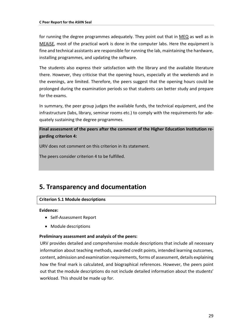for running the degree programmes adequately. They point out that in  $MEQ$  as well as in MEAiSE, most of the practical work is done in the computer labs. Here the equipment is fine and technical assistants are responsible for running the lab, maintaining the hardware, installing programmes, and updating the software.

The students also express their satisfaction with the library and the available literature there. However, they criticise that the opening hours, especially at the weekends and in the evenings, are limited. Therefore, the peers suggest that the opening hours could be prolonged during the examination periods so that students can better study and prepare for the exams.

In summary, the peer group judges the available funds, the technical equipment, and the infrastructure (labs, library, seminar rooms etc.) to comply with the requirements for adequately sustaining the degree programmes.

**Final assessment of the peers after the comment of the Higher Education Institution regarding criterion 4:**

URV does not comment on this criterion in its statement.

The peers consider criterion 4 to be fulfilled.

### <span id="page-28-0"></span>**5. Transparency and documentation**

#### **Criterion 5.1 Module descriptions**

#### **Evidence:**

- Self-Assessment Report
- Module descriptions

#### **Preliminary assessment and analysis of the peers:**

URV provides detailed and comprehensive module descriptions that include all necessary information about teaching methods, awarded credit points, intended learning outcomes, content, admission and examination requirements, forms of assessment, details explaining how the final mark is calculated, and biographical references. However, the peers point out that the module descriptions do not include detailed information about the students' workload. This should be made up for.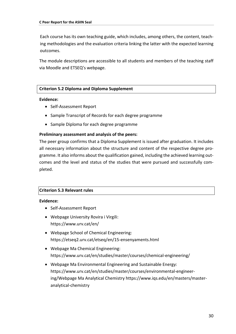Each course has its own teaching guide, which includes, among others, the content, teaching methodologies and the evaluation criteria linking the latter with the expected learning outcomes.

The module descriptions are accessible to all students and members of the teaching staff via Moodle and ETSEQ's webpage.

#### **Criterion 5.2 Diploma and Diploma Supplement**

#### **Evidence:**

- Self-Assessment Report
- Sample Transcript of Records for each degree programme
- Sample Diploma for each degree programme

#### **Preliminary assessment and analysis of the peers:**

The peer group confirms that a Diploma Supplement is issued after graduation. It includes all necessary information about the structure and content of the respective degree programme. It also informs about the qualification gained, including the achieved learning outcomes and the level and status of the studies that were pursued and successfully completed.

#### **Criterion 5.3 Relevant rules**

#### **Evidence:**

- Self-Assessment Report
- Webpage University Rovira i Virgili: https://www.urv.cat/en/
- Webpage School of Chemical Engineering: https://etseq2.urv.cat/etseq/en/15-ensenyaments.html
- Webpage Ma Chemical Engineering: https://www.urv.cat/en/studies/master/courses/chemical-engineering/
- Webpage Ma Environmental Engineering and Sustainable Energy: https://www.urv.cat/en/studies/master/courses/environmental-engineering/Webpage Ma Analytical Chemistry https://www.iqs.edu/en/masters/masteranalytical-chemistry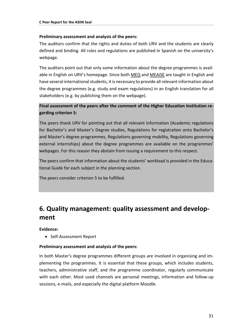#### **Preliminary assessment and analysis of the peers:**

The auditors confirm that the rights and duties of both URV and the students are clearly defined and binding. All rules and regulations are published in Spanish on the university's webpage.

The auditors point out that only some information about the degree programmes is available in English on URV's homepage. Since both MEQ and MEAISE are taught in English and have several international students, it is necessary to provide all relevant information about the degree programmes (e.g. study and exam regulations) in an English translation for all stakeholders (e.g. by publishing them on the webpage).

#### **Final assessment of the peers after the comment of the Higher Education Institution regarding criterion 5:**

The peers thank URV for pointing out that all relevant information (Academic regulations for Bachelor's and Master's Degree studies, Regulations for registration onto Bachelor's and Master's degree programmes, Regulations governing mobility, Regulations governing external internships) about the degree programmes are available on the programmes' webpages. For this reason they abstain from issuing a requirement to this respect.

The peers confirm that information about the students' workload is provided in the Educational Guide for each subject in the planning section.

The peers consider criterion 5 to be fulfilled.

### <span id="page-30-0"></span>**6. Quality management: quality assessment and development**

**Evidence:** 

• Self-Assessment Report

#### **Preliminary assessment and analysis of the peers:**

In both Master's degree programmes different groups are involved in organising and implementing the programmes. It is essential that these groups, which includes students, teachers, administrative staff, and the programme coordinator, regularly communicate with each other. Most used channels are personal meetings, information and follow-up sessions, e-mails, and especially the digital platform Moodle.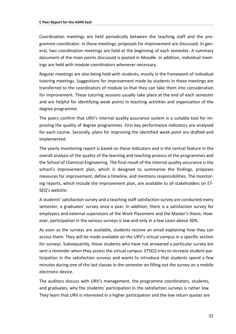Coordination meetings are held periodically between the teaching staff and the programme coordinator. In these meetings, proposals for improvement are discussed. In general, two coordination meetings are held at the beginning of each semester. A summary document of the main points discussed is posted in Moodle. In addition, individual meetings are held with module coordinators whenever necessary.

Regular meetings are also being held with students, mostly in the framework of individual tutoring meetings. Suggestions for improvement made by students in these meetings are transferred to the coordinators of module so that they can take them into consideration for improvement. These tutoring sessions usually take place at the end of each semester and are helpful for identifying weak points in teaching activities and organisation of the degree programme.

The peers confirm that URV's internal quality assurance system is a suitable tool for improving the quality of degree programmes. First key performance indicators are analysed for each course. Secondly, plans for improving the identified weak point are drafted and implemented.

The yearly monitoring report is based on these indicators and is the central feature in the overall analysis of the quality of the learning and teaching process of the programmes and the School of Chemical Engineering. The final result of the internal quality assurance is the school's improvement plan, which is designed to summarise the findings, proposes measures for improvement, define a timeline, and mentions responsibilities. The monitoring reports, which include the improvement plan, are available to all stakeholders on ET-SEQ's website.

A students' satisfaction survey and a teaching staff satisfaction survey are conducted every semester; a graduates' survey once a year. In addition, there is a satisfaction survey for employers and external supervisors of the Work Placement and the Master's thesis. However, participation in the various surveys is low and only in a few cases above 30%.

As soon as the surveys are available, students receive an email explaining how they can access them. They will be made available on the URV's virtual campus in a specific section for surveys. Subsequently, those students who have not answered a particular survey are sent a reminder when they access the virtual campus. ETSEQ tries to increase student participation in the satisfaction surveys and wants to introduce that students spend a few minutes during one of the last classes in the semester on filling out the survey on a mobile electronic device.

The auditors discuss with URV's management, the programme coordinators, students, and graduates, why the students' participation in the satisfaction surveys is rather low. They learn that URV is interested in a higher participation and the low return quotas are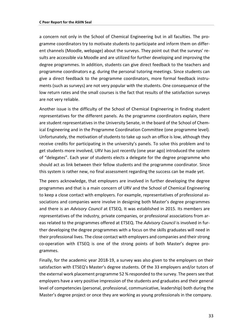a concern not only in the School of Chemical Engineering but in all faculties. The programme coordinators try to motivate students to participate and inform them on different channels (Moodle, webpage) about the surveys. They point out that the surveys' results are accessible via Moodle and are utilized for further developing and improving the degree programmes. In addition, students can give direct feedback to the teachers and programme coordinators e.g. during the personal tutoring meetings. Since students can give a direct feedback to the programme coordinators, more formal feedback instruments (such as surveys) are not very popular with the students. One consequence of the low return rates and the small courses is the fact that results of the satisfaction surveys are not very reliable.

Another issue is the difficulty of the School of Chemical Engineering in finding student representatives for the different panels. As the programme coordinators explain, there are student representatives in the University Senate, in the board of the School of Chemical Engineering and in the Programme Coordination Committee (one programme level). Unfortunately, the motivation of students to take up such an office is low, although they receive credits for participating in the university's panels. To solve this problem and to get students more involved, URV has just recently (one year ago) introduced the system of "delegates". Each year of students elects a delegate for the degree programme who should act as link between their fellow students and the programme coordinator. Since this system is rather new, no final assessment regarding the success can be made yet.

The peers acknowledge, that employers are involved in further developing the degree programmes and that is a main concern of URV and the School of Chemical Engineering to keep a close contact with employers. For example, representatives of professional associations and companies were involve in designing both Master's degree programmes and there is an *Advisory Council* at ETSEQ. It was established in 2015. Its members are representatives of the industry, private companies, or professional associations from areas related to the programmes offered at ETSEQ. The *Advisory Council* is involved in further developing the degree programmes with a focus on the skills graduates will need in their professional lives. The close contact with employers and companies and their strong co-operation with ETSEQ is one of the strong points of both Master's degree programmes.

Finally, for the academic year 2018-19, a survey was also given to the employers on their satisfaction with ETSEQ's Master's degree students. Of the 33 employers and/or tutors of the external work placement programme 52 % responded to the survey. The peers see that employers have a very positive impression of the students and graduates and their general level of competencies (personal, professional, communicative, leadership) both during the Master's degree project or once they are working as young professionals in the company.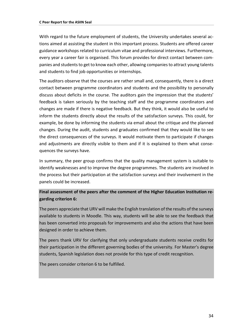With regard to the future employment of students, the University undertakes several actions aimed at assisting the student in this important process. Students are offered career guidance workshops related to curriculum vitae and professional interviews. Furthermore, every year a career fair is organised. This forum provides for direct contact between companies and students to get to know each other, allowing companies to attract young talents and students to find job opportunities or internships.

The auditors observe that the courses are rather small and, consequently, there is a direct contact between programme coordinators and students and the possibility to personally discuss about deficits in the course. The auditors gain the impression that the students' feedback is taken seriously by the teaching staff and the programme coordinators and changes are made if there is negative feedback. But they think, it would also be useful to inform the students directly about the results of the satisfaction surveys. This could, for example, be done by informing the students via email about the critique and the planned changes. During the audit, students and graduates confirmed that they would like to see the direct consequences of the surveys. It would motivate them to participate if changes and adjustments are directly visible to them and if it is explained to them what consequences the surveys have.

In summary, the peer group confirms that the quality management system is suitable to identify weaknesses and to improve the degree programmes. The students are involved in the process but their participation at the satisfaction surveys and their involvement in the panels could be increased.

#### **Final assessment of the peers after the comment of the Higher Education Institution regarding criterion 6:**

The peers appreciate that URV will make the English translation of the results of the surveys available to students in Moodle. This way, students will be able to see the feedback that has been converted into proposals for improvements and also the actions that have been designed in order to achieve them.

The peers thank URV for clarifying that only undergraduate students receive credits for their participation in the different governing bodies of the university. For Master's degree students, Spanish legislation does not provide for this type of credit recognition.

The peers consider criterion 6 to be fulfilled.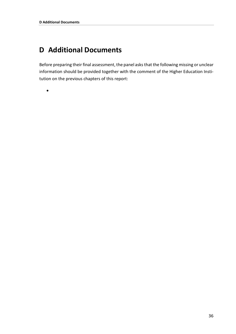# <span id="page-35-0"></span>**D Additional Documents**

Before preparing their final assessment, the panel asks that the following missing or unclear information should be provided together with the comment of the Higher Education Institution on the previous chapters of this report:

•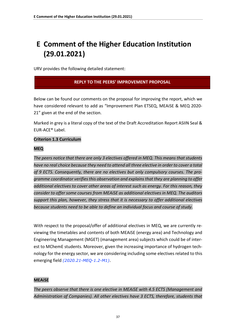# <span id="page-36-0"></span>**E Comment of the Higher Education Institution (29.01.2021)**

URV provides the following detailed statement:

#### **REPLY TO THE PEERS' IMPROVEMENT PROPOSAL**

Below can be found our comments on the proposal for improving the report, which we have considered relevant to add as "Improvement Plan ETSEQ, MEAiSE & MEQ 2020- 21" given at the end of the section.

Marked in grey is a literal copy of the text of the Draft Accreditation Report ASIIN Seal & EUR-ACE® Label.

#### **Criterion 1.3 Curriculum**

#### **MEQ**

*The peers notice that there are only 3 electives offered in MEQ. This means that students have no real choice because they need to attend all three elective in order to cover a total of 9 ECTS. Consequently, there are no electives but only compulsory courses. The programme coordinator verifies this observation and explains that they are planning to offer additional electives to cover other areas of interest such as energy. For this reason, they consider to offer some courses from MEAiSE as additional electives in MEQ. The auditors support this plan, however, they stress that it is necessary to offer additional electives because students need to be able to define an individual focus and course of study*.

With respect to the proposal/offer of additional electives in MEQ, we are currently reviewing the timetables and contents of both MEAiSE (energy area) and Technology and Engineering Management (MGET) (management area) subjects which could be of interest to MChemE students. Moreover, given the increasing importance of hydrogen technology for the energy sector, we are considering including some electives related to this emerging field *(2020.21-MEQ-1.2-M1)*.

#### **MEAiSE**

*The peers observe that there is one elective in MEAiSE with 4.5 ECTS (Management and Administration of Companies). All other electives have 3 ECTS, therefore, students that*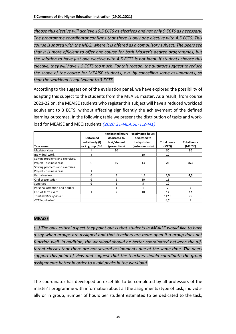*choose this elective will achieve 10.5 ECTS as electives and not only 9 ECTS as necessary. The programme coordinator confirms that there is only one elective with 4.5 ECTS. This course is shared with the MEQ, where it is offered as a compulsory subject. The peers see that it is more efficient to offer one course for both Master's degree programmes, but the solution to have just one elective with 4.5 ECTS is not ideal. If students choose this elective, they will have 1.5 ECTS too much. For this reason, the auditors suggest to reduce the scope of the course for MEAiSE students, e.g. by cancelling some assignments, so that the workload is equivalent to 3 ECTS*.

According to the suggestion of the evaluation panel, we have explored the possibility of adapting this subject to the students from the MEAISE master. As a result, from course 2021-22 on, the MEAISE students who register this subject will have a reduced workload equivalent to 3 ECTS, without affecting significantly the achievement of the defined learning outcomes. In the following table we present the distribution of tasks and workload for MEAISE and MEQ students *(2020.21-MEAiSE-1.2-M1)*.

|                                 | Performed           | #estimated hours<br>dedicated to | #estimated hours<br>dedicated to |                    |                    |
|---------------------------------|---------------------|----------------------------------|----------------------------------|--------------------|--------------------|
|                                 | individually (I)    | task/student                     | task/student                     | <b>Total hours</b> | <b>Total hours</b> |
| Task name                       | or in group $(G)$ ? | (presentials)                    | (autonomously)                   | (MEQ)              | (MEESE)            |
| Magistral class                 |                     | 30                               |                                  | 30                 | 30                 |
| Individual work                 |                     |                                  | 10                               | 10                 |                    |
| Solving problems and exercises. |                     |                                  |                                  |                    |                    |
| Project - business case         | G                   | 15                               | 13                               | 28                 | 26,5               |
| Solving problems and exercises. |                     |                                  |                                  |                    |                    |
| Project - business case         |                     |                                  |                                  |                    |                    |
| Partial review                  | G                   | 3                                | 1,5                              | 4,5                | 4,5                |
| Oral presentation               | G                   | 6                                | 10                               | 16                 |                    |
| Seminars                        | G                   | 5                                | 5                                | 10                 |                    |
| Personal attention and doubts   |                     | 1                                | 1                                | 2                  | 2                  |
| End-of-term exam                |                     | $\overline{2}$                   | 10                               | 12                 | 12                 |
| Total number of hours           |                     |                                  |                                  | 112,5              | 75                 |
| <b>ECTS</b> equivalent          |                     |                                  |                                  | 4,5                | 3                  |

#### **MEAiSE**

*(…) The only critical aspect they point out is that students in MEAiSE would like to have a say when groups are assigned and that teachers are more open if a group does not function well. In addition, the workload should be better coordinated between the different classes that there are not several assignments due at the same time. The peers support this point of view and suggest that the teachers should coordinate the group assignments better in order to avoid peaks in the workload.*

The coordinator has developed an excel file to be completed by all professors of the master's programme with information about all the assignments (type of task, individually or in group, number of hours per student estimated to be dedicated to the task,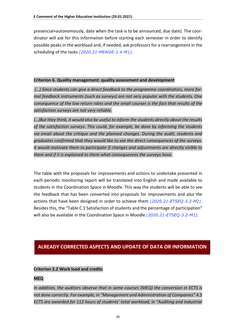presencial+autonomously, date when the task is to be announced, due date). The coordinator will ask for this information before starting each semester in order to identify possible peaks in the workload and, if needed, ask professors for a rearrangement in the scheduling of the tasks *(2020.21-MEAiSE-1.4-M1)*.

#### **Criterion 6. Quality management: quality assessment and development**

*(…) Since students can give a direct feedback to the programme coordinators, more formal feedback instruments (such as surveys) are not very popular with the students. One consequence of the low return rates and the small courses is the fact that results of the satisfaction surveys are not very reliable.*

*(…)But they think, it would also be useful to inform the students directly about the results of the satisfaction surveys. This could, for example, be done by informing the students via email about the critique and the planned changes. During the audit, students and graduates confirmed that they would like to see the direct consequences of the surveys. It would motivate them to participate if changes and adjustments are directly visible to them and if it is explained to them what consequences the surveys have.*

The table with the proposals for improvements and actions to undertake presented in each periodic monitoring report will be translated into English and made available to students in the Coordination Space in Moodle. This way the students will be able to see the feedback that has been converted into proposals for improvements and also the actions that have been designed in order to achieve them *(2020.21-ETSEQ-3.2-M2)*. Besides this, the "Table C.1 Satisfaction of students and the percentage of participation" will also be available in the Coordination Space in Moodle *(2020.21-ETSEQ-3.2-M1)*.

#### **ALREADY CORRECTED ASPECTS AND UPDATE OF DATA OR INFORMATION**

#### **Criterion 2.2 Work load and credits**

#### **MEQ**

*In addition, the auditors observe that in some courses (MEQ) the conversion in ECTS is not done correctly. For example, in "Management and Administration of Companies" 4.5 ECTS are awarded for 112 hours of students' total workload, in "Auditing and Industrial*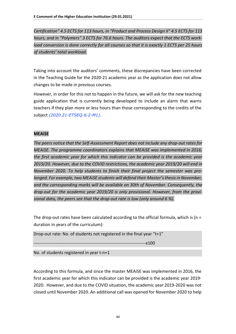*Certification" 4.5 ECTS for 113 hours, in "Product and Process Design II" 4.5 ECTS for 113 hours, and in "Polymers" 3 ECTS for 76.6 hours. The auditors expect that the ECTS work*load conversion is done correctly for all courses so that it is exactly 1 ECTS per 25 hours *of students' total workload.*

Taking into account the auditors' comments, these discrepancies have been corrected in the Teaching Guide for the 2020-21 academic year as the application does not allow changes to be made in previous courses.

However, in order for this not to happen in the future, we will ask for the new teaching guide application that is currently being developed to include an alarm that warns teachers if they plan more or less hours than those corresponding to the credits of the subject *(2020.21-ETSEQ-6.2-M1)*.

#### **MEAiSE**

*The peers notice that the Self-Assessment Report does not include any drop-out rates for MEAiSE. The programme coordinators explains that MEAiSE was implemented in 2016; the first academic year for which this indicator can be provided is the academic year 2019/20. However, due to the COVID restrictions, the academic year 2019/20 will end in November 2020. To help students to finish their final project the semester was prolonged. For example, two MEAiSE students will defend their Master's thesis in November, and the corresponding marks will be available on 30th of November. Consequently, the drop-out for the academic year 2019/20 is only provisional. However, from the provisional data, the peers see that the drop-out rate is low (only around 6 %).* 

The drop-out rates have been calculated according to the official formula, which is ( $n =$ duration in years of the curriculum):

Drop-out rate: No. of students not registered in the final year "t+1"

-----------------------------------------------------------------------------x100

No. of students registered in year t-n+1

According to this formula, and since the master MEAiSE was implemented in 2016, the first academic year for which this indicator can be provided is the academic year 2019- 2020. However, and due to the COVID situation, the academic year 2019-2020 was not closed until November 2020. An additional call was opened for November 2020 to help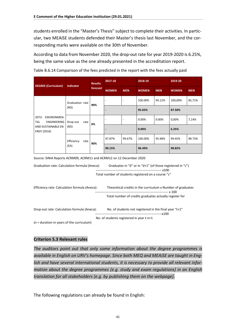students enrolled in the "Master's Thesis" subject to complete their activities. In particular, two MEAiSE students defended their Master's thesis last November, and the corresponding marks were available on the 30th of November.

According to data from November 2020, the drop-out rate for year 2019-2020 is 6.25%, being the same value as the one already presented in the accreditation report.

| <b>DEGREE (Curriculum)</b>                                                                                                                                                           | Indicator          | <b>Results</b><br>forecast | 2017-18      |                          | 2018-19      |            | 2019-20      |            |  |
|--------------------------------------------------------------------------------------------------------------------------------------------------------------------------------------|--------------------|----------------------------|--------------|--------------------------|--------------|------------|--------------|------------|--|
|                                                                                                                                                                                      |                    |                            | <b>WOMEN</b> | <b>MEN</b>               | <b>WOMEN</b> | <b>MEN</b> | <b>WOMEN</b> | <b>MEN</b> |  |
|                                                                                                                                                                                      | Graduation rate    |                            |              |                          | 100.00%      | 94.12%     | 100,00%      | 85,71%     |  |
|                                                                                                                                                                                      | (RD)               | 90%                        |              |                          | 95.65%       |            | 87.50%       |            |  |
| 2073-<br><b>ENVIRONMEN-</b><br>ENGINEERING<br><b>TAL</b>                                                                                                                             | Drop-out<br>rate   | 6%                         |              | $\overline{\phantom{a}}$ | 0.00%        | 0.00%      | 0,00%        | 7,14%      |  |
| AND SUSTAINABLE EN-<br>ERGY (2016)                                                                                                                                                   | (RD)               |                            |              |                          | 0.00%        |            | 6.25%        |            |  |
|                                                                                                                                                                                      | Efficiency<br>rate | 90%                        | 97.87%       | 99.67%                   | 100.00%      | 95.98%     | 99.45%       | 98.73%     |  |
|                                                                                                                                                                                      | (EA)               |                            | 99.15%       |                          | 96.49%       |            | 98.82%       |            |  |
| Source: SINIA Reports ACRM09, ACRM11 and ACRM12 on 12 December 2020<br>$C$ reduction rate: Calculation formula (Anocal) $C$ reductor in "d" or in "d11" (of those registered in "c") |                    |                            |              |                          |              |            |              |            |  |

Table B.6.14 Comparison of the fees predicted in the report with the fees actually paid

Graduation rate: Calculation formula (Aneca): Graduates in "d" or in "d+1" (of those registered in "c")

------------------------------------------------------------ x100

Total number of students registered on a course "c"

Efficiency rate: Calculation formula (Aneca): Theoretical credits in the curriculum x Number of graduates ------------------------------------------------------------------- x 100 Total number of credits graduates actually register for

Drop-out rate: Calculation formula (Aneca): No. of students not registered in the final year "t+1" -------------------------------------------------------------x100 No. of students registered in year t-n+1

(n = duration in years of the curriculum)

#### **Criterion 5.3 Relevant rules**

*The auditors point out that only some information about the degree programmes is available in English on URV's homepage. Since both MEQ and MEAiSE are taught in English and have several international students, it is necessary to provide all relevant information about the degree programmes (e.g. study and exam regulations) in an English translation for all stakeholders (e.g. by publishing them on the webpage).*

The following regulations can already be found in English: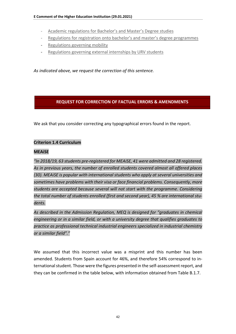- [Academic regulations for Bachelor's and Master's Degree studies](https://www.urv.cat/media/upload/arxius/normatives/propia/activitat_universitaria/docencia_estudi/2020-21_NA_GM_ang.pdf)
- [Regulations for registration onto bachelor's and master's degree programmes](https://www.urv.cat/media/upload/arxius/normatives/propia/activitat_universitaria/docencia_estudi/2020-21_nmatricula_grau_master%20ANG.pdf)
- [Regulations governing mobility](https://www.urv.cat/media/upload/arxius/normatives/propia/activitat_universitaria/docencia_estudi/norm_mobilitat_ang.pdf)
- [Regulations governing external internships by URV students](https://www.urv.cat/media/upload/arxius/normatives/propia/activitat_universitaria/docencia_estudi/Norm_pract_externes_ANG.pdf)

*As indicated above, we request the correction of this sentence.* 

#### **REQUEST FOR CORRECTION OF FACTUAL ERRORS & AMENDMENTS**

We ask that you consider correcting any typographical errors found in the report.

#### **Criterion 1.4 Curriculum**

#### **MEAiSE**

*"In 2018/19, 63 students pre-registered for MEAiSE, 41 were admitted and 28 registered. As in previous years, the number of enrolled students covered almost all offered places (30). MEAiSE is popular with international students who apply at several universities and sometimes have problems with their visa or face financial problems. Consequently, more students are accepted because several will not start with the programme. Considering the total number of students enrolled (first and second year), 45 % are international students.* 

*As described in the Admission Regulation, MEQ is designed for "graduates in chemical engineering or in a similar field, or with a university degree that qualifies graduates to practice as professional technical industrial engineers specialized in industrial chemistry or a similar field"."*

We assumed that this incorrect value was a misprint and this number has been amended. Students from Spain account for 46%, and therefore 54% correspond to international student. Those were the figures presented in the self-assessment report, and they can be confirmed in the table below, with information obtained from Table B.1.7.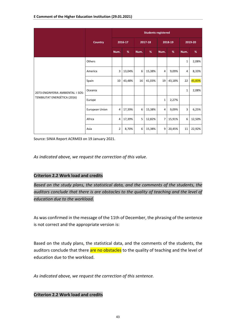|                                  |                | <b>Students registered</b> |         |      |         |                |         |              |         |  |  |  |
|----------------------------------|----------------|----------------------------|---------|------|---------|----------------|---------|--------------|---------|--|--|--|
|                                  | <b>Country</b> |                            | 2016-17 |      | 2017-18 |                | 2018-19 |              | 2019-20 |  |  |  |
|                                  |                | Num.                       | %       | Num. | %       | Num.           | %       | Num.         | %       |  |  |  |
|                                  | Others         |                            |         |      |         |                |         | $\mathbf{1}$ | 2,08%   |  |  |  |
|                                  | America        | 3                          | 13,04%  | 6    | 15,38%  | $\overline{4}$ | 9,09%   | 4            | 8,33%   |  |  |  |
|                                  | Spain          | 10                         | 43,48%  | 16   | 41,03%  | 19             | 43,18%  | 22           | 45,83%  |  |  |  |
| 2073-ENGINYERIA AMBIENTAL I SOS- | Oceania        |                            |         |      |         |                |         | $\mathbf{1}$ | 2,08%   |  |  |  |
| TENIBILITAT ENERGÈTICA (2016)    | Europe         |                            |         |      |         | $\mathbf 1$    | 2,27%   |              |         |  |  |  |
|                                  | European Union | 4                          | 17,39%  | 6    | 15,38%  | 4              | 9,09%   | 3            | 6,25%   |  |  |  |
|                                  | Africa         | 4                          | 17,39%  | 5    | 12,82%  | $\overline{7}$ | 15,91%  | 6            | 12,50%  |  |  |  |
|                                  | Asia           | $\overline{2}$             | 8,70%   | 6    | 15,38%  | 9              | 20,45%  | 11           | 22,92%  |  |  |  |

Source: SINIA Report ACRM03 on 19 January 2021.

*As indicated above, we request the correction of this value.* 

#### **Criterion 2.2 Work load and credits**

*Based on the study plans, the statistical data, and the comments of the students, the auditors conclude that there is are obstacles to the quality of teaching and the level of education due to the workload.* 

As was confirmed in the message of the 11th of December, the phrasing of the sentence is not correct and the appropriate version is:

Based on the study plans, the statistical data, and the comments of the students, the auditors conclude that there are no obstacles to the quality of teaching and the level of education due to the workload.

*As indicated above, we request the correction of this sentence.*

#### **Criterion 2.2 Work load and credits**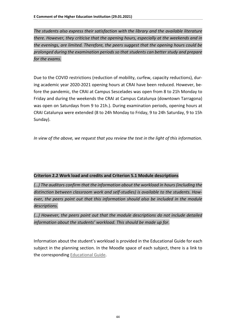*The students also express their satisfaction with the library and the available literature there. However, they criticise that the opening hours, especially at the weekends and in the evenings, are limited. Therefore, the peers suggest that the opening hours could be prolonged during the examination periods so that students can better study and prepare for the exams.*

Due to the COVID restrictions (reduction of mobility, curfew, capacity reductions), during academic year 2020-2021 opening hours at CRAI have been reduced. However, before the pandemic, the CRAI at Campus Sescelades was open from 8 to 21h Monday to Friday and during the weekends the CRAI at Campus Catalunya (downtown Tarragona) was open on Saturdays from 9 to 21h.). During examination periods, opening hours at CRAI Catalunya were extended (8 to 24h Monday to Friday, 9 to 24h Saturday, 9 to 15h Sunday).

*In view of the above, we request that you review the text in the light of this information.*

#### **Criterion 2.2 Work load and credits and Criterion 5.1 Module descriptions**

*(…) The auditors confirm that the information about the workload in hours (including the distinction between classroom work and self-studies) is available to the students. However, the peers point out that this information should also be included in the module descriptions.*

*(…) However, the peers point out that the module descriptions do not include detailed information about the students' workload. This should be made up for*.

Information about the student's workload is provided in the Educational Guide for each subject in the planning section. In the Moodle space of each subject, there is a link to the corresponding [Educational Guide.](https://moodle.urv.cat/docnet/guia_docent/index.php?centre=20&ensenyament=2073&assignatura=20735108&fitxa_apartat=58&any_academic=2020_21&idioma=eng&any_academic=2020_21)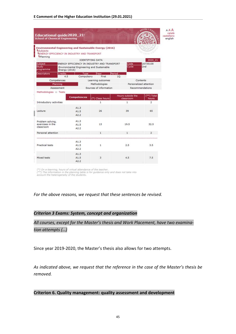| Educational guide2020_21-<br><b>School of Chemical Engineering</b>                                                                |                |                         |                                             |              |                                |                        | AAA<br>català<br>castellano<br>english |
|-----------------------------------------------------------------------------------------------------------------------------------|----------------|-------------------------|---------------------------------------------|--------------|--------------------------------|------------------------|----------------------------------------|
| Environmental Engineering and Sustainable Energy (2016)<br>LSubjects<br>LENERGY EFFICIENCY IN INDUSTRY AND TRANSPORT<br>Lplanning |                |                         |                                             |              |                                |                        |                                        |
| Subject                                                                                                                           |                | <b>IDENTIFYING DATA</b> | ENERGY EFFICIENCY IN INDUSTRY AND TRANSPORT |              | Code                           | 2020 21<br>20735108    |                                        |
| Study<br>programme                                                                                                                | Energy (2016)  |                         | Environmental Engineering and Sustainable   |              | Cycle                          | 2nd                    |                                        |
| <b>Descriptors</b>                                                                                                                | Credits<br>4.5 | Type<br>Compulsory      | <b>Near</b><br>First                        | Period<br>10 |                                |                        |                                        |
|                                                                                                                                   | Competences    |                         | Learning outcomes                           |              |                                | Contents               |                                        |
|                                                                                                                                   | Planning       |                         | Methodologies                               |              |                                | Personalized attention |                                        |
|                                                                                                                                   | Assessment     |                         | Sources of information                      |              |                                | Recommendations        |                                        |
| Methodologies :: Tests                                                                                                            |                | <b>Competences</b>      | (*) Class hours                             |              | Hours outside the<br>classroom | $(**)$ Total<br>hours  |                                        |
| Introductory activities                                                                                                           |                |                         | 1                                           |              | 1                              | $\overline{2}$         |                                        |
| Lecture                                                                                                                           |                | A1.3<br>A1.5<br>A2.2    | 26                                          |              | 39                             | 65                     |                                        |
| Problem solving,<br>exercises in the<br>classroom                                                                                 |                | A1.3<br>A1.5<br>A2.2    | 13                                          |              | 19.5                           | 32.5                   |                                        |
| Personal attention                                                                                                                |                |                         | 1                                           |              | $\mathbf{1}$                   | $\overline{2}$         |                                        |
|                                                                                                                                   |                |                         |                                             |              |                                |                        |                                        |
| Practical tests                                                                                                                   |                | A1.3<br>A1.5<br>A2.2    | 1                                           |              | 2.5                            | 3.5                    |                                        |
| Mixed tests                                                                                                                       |                | A1.3<br>A1.5<br>A2.2    | 3                                           |              | 4.5                            | 7.5                    |                                        |

(\*) On e-learning, hours of virtual attendance of the teacher.<br>(\*\*) The information in the planning table is for guidance only and does not take into<br>account the heterogeneity of the students.

*For the above reasons, we request that these sentences be revised.* 

#### *Criterion 3 Exams: System, concept and organization*

*All courses, except for the Master's thesis and Work Placement, have two examination attempts (…)*

Since year 2019-2020, the Master's thesis also allows for two attempts.

*As indicated above, we request that the reference in the case of the Master's thesis be removed.*

**Criterion 6. Quality management: quality assessment and development**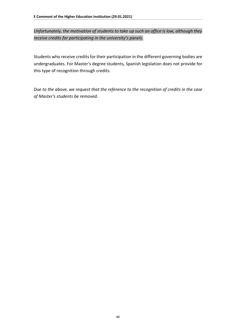*Unfortunately, the motivation of students to take up such an office is low, although they receive credits for participating in the university's panels.*

Students who receive credits for their participation in the different governing bodies are undergraduates. For Master's degree students, Spanish legislation does not provide for this type of recognition through credits.

*Due to the above, we request that the reference to the recognition of credits in the case of Master's students be removed.*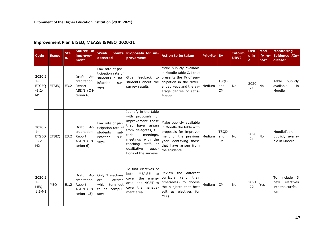#### **Improvement Plan ETSEQ, MEAiSE & MEQ 2020-21**

| Code                                                         | <b>Scope</b> | <b>Sta</b><br>n. | Source of<br>improve-<br>ment                                        | Weak<br>detected                                                                        | points Proposals for im-<br>provement                                                                                                                                                                                          | <b>Action to be taken</b>                                                                                                                                                           | <b>Priority By</b> |                                 | <b>Inform</b><br>URV? | <b>Dea</b><br>dlin<br>e | Mod-<br>ify re-<br>port | <b>Monitoring</b><br>Evidence /In-<br>dicator                   |
|--------------------------------------------------------------|--------------|------------------|----------------------------------------------------------------------|-----------------------------------------------------------------------------------------|--------------------------------------------------------------------------------------------------------------------------------------------------------------------------------------------------------------------------------|-------------------------------------------------------------------------------------------------------------------------------------------------------------------------------------|--------------------|---------------------------------|-----------------------|-------------------------|-------------------------|-----------------------------------------------------------------|
| 2020.2<br>$1 -$<br><b>ETSEQ</b><br>$-3.2-$<br>M1             | <b>ETSEQ</b> | E3.2             | Draft<br>Ac-<br>creditation<br>Report<br>ASIIN (Cri-<br>terion $6$ ) | Low rate of par-<br>ticipation rate of<br>isfaction<br>sur-<br>veys                     | students in sat- Give feedback to<br>students about the<br>survey results                                                                                                                                                      | Make publicly available<br>in Moodle table C.1 that<br>presents the % of par-<br>ticipation in the differ-<br>ent surveys and the av-   Medium<br>erage degree of satis-<br>faction |                    | <b>TSQD</b><br>and<br><b>CM</b> | No                    | 2020<br>$-21$           | <b>No</b>               | Table publicly<br>available<br>in<br>Moodle                     |
| 2020.2<br>$1 -$<br><b>ETSEQ</b><br>$-3.2-$<br>M <sub>2</sub> | <b>ETSEO</b> | E3.2             | Draft<br>Ac-<br>creditation<br>Report<br>ASIIN (Cri-<br>terion $6$ ) | Low rate of par-<br>ticipation rate of<br>students in sat-<br>isfaction<br>sur-<br>veys | Identify in the table<br>with proposals for<br>improvement those<br>that have arisen<br>from delegates, tu-<br>torial<br>meetings,<br>meetings with the<br>teaching staff, or<br>qualitative<br>ques-<br>tions of the surveys. | Make publicly available<br>in Moodle the table with<br>proposals for improve-<br>ment of the previous Medium<br>year identifying those<br>that have arisen from<br>the students.    |                    | <b>TSQD</b><br>and<br><b>CM</b> | <b>No</b>             | 2020<br>$-21$           | <b>No</b>               | MoodleTable<br>publicly availa-<br>ble in Moodle                |
| 2020.2<br>$1 -$<br>MEQ-<br>$1.2 - M1$                        | MEQ          | E1.2             | Draft Ac-<br>creditation<br>Report<br>ASIIN (Cri-<br>terion $1.3$ )  | Only 3 electives<br>offered<br>are<br>which turn out<br>to be compul-<br>sory           | To find electives of<br>MEAISE<br>both<br>to<br>cover the energy<br>area, and MGET to<br>cover the manage-<br>ment area.                                                                                                       | the different<br>Review<br>(and<br>their<br>curricula<br>timetables) to choose<br>the subjects that best<br>suit as electives for<br><b>MEQ</b>                                     | Medium             | <b>CM</b>                       | No                    | 2021<br>$-22$           | Yes                     | include 3<br>To<br>electives<br>new<br>into the currícu-<br>lum |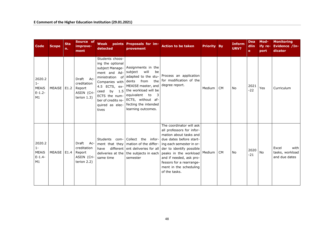| <b>Code</b>                                       | <b>Scope</b>  | <b>Sta</b><br>n. | Source of<br>improve-<br>ment                                          | Weak<br>detected                                                                                                                                                                                        | points Proposals for im-<br>provement                                                                                                                                                                                                          | <b>Action to be taken</b>                                                                                                                                                                                                                                                                                                                                                                                                                                            | <b>Priority By</b> |           | <b>Inform</b><br>URV? | <b>Dea</b><br>dlin<br>e. | Mod-<br>ify re-<br>port | <b>Monitoring</b><br>Evidence /In-<br>dicator     |
|---------------------------------------------------|---------------|------------------|------------------------------------------------------------------------|---------------------------------------------------------------------------------------------------------------------------------------------------------------------------------------------------------|------------------------------------------------------------------------------------------------------------------------------------------------------------------------------------------------------------------------------------------------|----------------------------------------------------------------------------------------------------------------------------------------------------------------------------------------------------------------------------------------------------------------------------------------------------------------------------------------------------------------------------------------------------------------------------------------------------------------------|--------------------|-----------|-----------------------|--------------------------|-------------------------|---------------------------------------------------|
| 2020.2<br>$1 -$<br><b>MEAIS</b><br>$E-1.2-$<br>M1 | MEAISE        | E1.2             | Draft<br>Ac-<br>creditation<br>Report<br>ASIIN (Cri-<br>terion $1.3$ ) | Students choos-<br>ing the optional<br>subject Manage-<br>ment and Ad-<br>ministration of<br>Companies with<br>4.5 ECTS, ex-<br>ceed<br>ECTS the num-<br>ber of credits re-<br>quired as elec-<br>tives | Assignments in the<br>will<br>subject<br>be<br>dents from<br>MEAISE master, and degree report.<br>by $1.5$ the workload will be<br>equivalent to<br>$\overline{\mathbf{3}}$<br>ECTS, without af-<br>fecting the intended<br>learning outcomes. | adapted to the stu-   Process an application<br>the   for modification of the                                                                                                                                                                                                                                                                                                                                                                                        | Medium             | <b>CM</b> | No                    | 2021<br>$-22$            | Yes                     | Curriculum                                        |
| 2020.2<br>$1 -$<br><b>MEAIS</b><br>$E-1.4-$<br>M1 | <b>MEAISE</b> | E1.4             | Draft<br>Ac-<br>creditation<br>Report<br>ASIIN (Cri-<br>terion 2.2)    | have<br>same time                                                                                                                                                                                       | semester                                                                                                                                                                                                                                       | The coordinator will ask<br>all professors for infor-<br>mation about tasks and<br>Students com- Collect the infor- due dates before start-<br>ment that they   mation of the differ-   ing each semester in or-<br>different ent deliveries for all $\vert$ der to identify possible<br>deliveries at the   the subjects in each   peaks in the workload   Medium<br>and if needed, ask pro-<br>fessors for a rearrange-<br>ment in the scheduling<br>of the tasks. |                    | <b>CM</b> | No                    | 2020<br>$-21$            | No                      | with<br>Excel<br>tasks, workload<br>and due dates |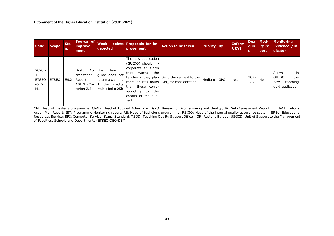| <b>Code</b>                                      | <b>Scope</b> | <b>Sta</b><br>n. | Source of<br>improve-<br>ment                                   | detected                                                                                       | Weak points Proposals for im-<br>provement                                                                                                                            | <b>Action to be taken</b>                                                                     | <b>Priority By</b> |            | <b>Inform</b><br>URV? | <b>Dea</b><br>dlin<br>e | Mod-<br>ify re-<br>port | <b>Monitoring</b><br><b>Evidence /In-</b><br>dicator                |
|--------------------------------------------------|--------------|------------------|-----------------------------------------------------------------|------------------------------------------------------------------------------------------------|-----------------------------------------------------------------------------------------------------------------------------------------------------------------------|-----------------------------------------------------------------------------------------------|--------------------|------------|-----------------------|-------------------------|-------------------------|---------------------------------------------------------------------|
| 2020.2<br>$1 -$<br><b>ETSEQ</b><br>$-6.2-$<br>M1 | <b>ETSEO</b> | E6.2             | Draft<br>creditation<br>Report<br>ASIIN (Cri- if<br>terion 2.2) | Ac- The<br>teaching  <br>quide does not<br>return a warning<br>the credits<br>multiplied x 25h | The new application<br>(GUIDO) should in-<br>corporate an alarm<br>that<br>the<br>warns<br>than those corre-<br>sponding<br>to<br>the<br>credits of the sub-<br>ject. | teacher if they plan   Send the request to the  <br>more or less hours GPO for consideration. | Medium             | <b>GPO</b> | Yes                   | 2022<br>$-23$           | l No                    | Alarm<br>in<br>GUIDO,<br>the<br>teaching<br>new<br>quid application |

CM: Head of master's programme; CPAD: Head of Tutorial Action Plan; GPQ: Bureau for Programming and Quality; IA: Self-Assessment Report; Inf. PAT: Tutorial Action Plan Report; IST: Programme Monitoring report; RE: Head of Bachelor's programme; RSIGQ: Head of the internal quality assurance system; SREd: Educational Resources Service; SRI: Computer Service; Stan.: Standard; TSQD: Teaching Quality Support Officer; GR: Rector's Bureau; USGCD: Unit of Support to the Management of Faculties, Schools and Departments (ETSEQ-DEQ-DEM)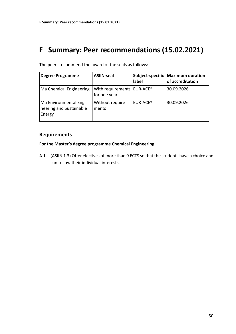## <span id="page-49-0"></span>**F Summary: Peer recommendations (15.02.2021)**

| <b>Degree Programme</b>                                     | <b>ASIIN-seal</b>                                        | label                | Subject-specific   Maximum duration<br>of accreditation |
|-------------------------------------------------------------|----------------------------------------------------------|----------------------|---------------------------------------------------------|
| Ma Chemical Engineering                                     | With requirements   EUR-ACE <sup>®</sup><br>for one year |                      | 30.09.2026                                              |
| Ma Environmental Engi-<br>neering and Sustainable<br>Energy | Without require-<br>ments                                | EUR-ACE <sup>®</sup> | 30.09.2026                                              |

The peers recommend the award of the seals as follows:

#### **Requirements**

#### **For the Master's degree programme Chemical Engineering**

A 1. (ASIIN 1.3) Offer electives of more than 9 ECTS so that the students have a choice and can follow their individual interests.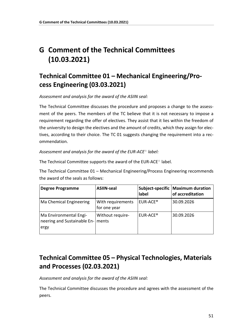# <span id="page-50-0"></span>**G Comment of the Technical Committees (10.03.2021)**

### <span id="page-50-1"></span>**Technical Committee 01 – Mechanical Engineering/Process Engineering (03.03.2021)**

*Assessment and analysis for the award of the ASIIN seal:*

The Technical Committee discusses the procedure and proposes a change to the assessment of the peers. The members of the TC believe that it is not necessary to impose a requirement regarding the offer of electives. They assist that it lies within the freedom of the university to design the electives and the amount of credits, which they assign for electives, according to their choice. The TC 01 suggests changing the requirement into a recommendation.

*Assessment and analysis for the award of the EUR-ACE*® *label:*

The Technical Committee supports the award of the EUR-ACE® label.

The Technical Committee 01 – Mechanical Engineering/Process Engineering recommends the award of the seals as follows:

| <b>Degree Programme</b>                                       | <b>ASIIN-seal</b>                 | label                | Subject-specific   Maximum duration<br>of accreditation |
|---------------------------------------------------------------|-----------------------------------|----------------------|---------------------------------------------------------|
| Ma Chemical Engineering                                       | With requirements<br>for one year | EUR-ACE <sup>®</sup> | 30.09.2026                                              |
| Ma Environmental Engi-<br>neering and Sustainable En-<br>ergy | Without require-<br>ments         | EUR-ACE <sup>®</sup> | 30.09.2026                                              |

### <span id="page-50-2"></span>**Technical Committee 05 – Physical Technologies, Materials and Processes (02.03.2021)**

*Assessment and analysis for the award of the ASIIN seal:*

The Technical Committee discusses the procedure and agrees with the assessment of the peers.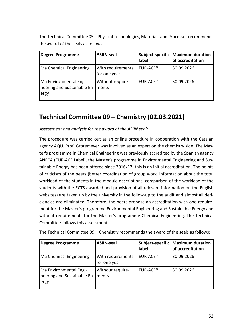The Technical Committee 05 – Physical Technologies, Materials and Processes recommends the award of the seals as follows:

| <b>Degree Programme</b>                                             | <b>ASIIN-seal</b>                 | label                | Subject-specific   Maximum duration<br>of accreditation |
|---------------------------------------------------------------------|-----------------------------------|----------------------|---------------------------------------------------------|
| Ma Chemical Engineering                                             | With requirements<br>for one year | EUR-ACE <sup>®</sup> | 30.09.2026                                              |
| Ma Environmental Engi-<br>neering and Sustainable En- ments<br>ergy | Without require-                  | EUR-ACE <sup>®</sup> | 30.09.2026                                              |

### <span id="page-51-0"></span>**Technical Committee 09 – Chemistry (02.03.2021)**

#### *Assessment and analysis for the award of the ASIIN seal:*

The procedure was carried out as an online procedure in cooperation with the Catalan agency AQU. Prof. Grotemeyer was involved as an expert on the chemistry side. The Master's programme in Chemical Engineering was previously accredited by the Spanish agency ANECA (EUR-ACE Label), the Master's programme in Environmental Engineering and Sustainable Energy has been offered since 2016/17; this is an initial accreditation. The points of criticism of the peers (better coordination of group work, information about the total workload of the students in the module descriptions, comparison of the workload of the students with the ECTS awarded and provision of all relevant information on the English websites) are taken up by the university in the follow-up to the audit and almost all deficiencies are eliminated. Therefore, the peers propose an accreditation with one requirement for the Master's programme Environmental Engineering and Sustainable Energy and without requirements for the Master's programme Chemical Engineering. The Technical Committee follows this assessment.

| <b>Degree Programme</b>                                             | <b>ASIIN-seal</b>                 | label                | Subject-specific   Maximum duration<br>of accreditation |
|---------------------------------------------------------------------|-----------------------------------|----------------------|---------------------------------------------------------|
| Ma Chemical Engineering                                             | With requirements<br>for one year | EUR-ACE <sup>®</sup> | 30.09.2026                                              |
| Ma Environmental Engi-<br>neering and Sustainable En- ments<br>ergy | Without require-                  | EUR-ACE <sup>®</sup> | 30.09.2026                                              |

The Technical Committee 09 – Chemistry recommends the award of the seals as follows: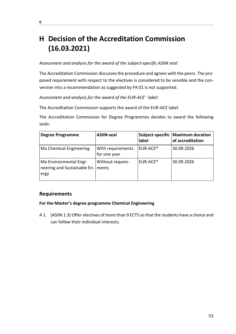# <span id="page-52-0"></span>**H Decision of the Accreditation Commission (16.03.2021)**

#### *Assessment and analysis for the award of the subject-specific ASIIN seal:*

The Accreditation Commission discusses the procedure and agrees with the peers. The proposed requirement with respect to the electives is considered to be sensible and the conversion into a recommendation as suggested by FA 01 is not supported.

*Assessment and analysis for the award of the EUR-ACE*® *label:*

The Accreditation Commission supports the award of the EUR-ACE label.

The Accreditation Commission for Degree Programmes decides to award the following seals:

| <b>Degree Programme</b>                                       | <b>ASIIN-seal</b>                 | label                | Subject-specific   Maximum duration<br>of accreditation |
|---------------------------------------------------------------|-----------------------------------|----------------------|---------------------------------------------------------|
| Ma Chemical Engineering                                       | With requirements<br>for one year | EUR-ACE <sup>®</sup> | 30.09.2026                                              |
| Ma Environmental Engi-<br>neering and Sustainable En-<br>ergy | Without require-<br>ments         | EUR-ACE <sup>®</sup> | 30.09.2026                                              |

#### **Requirements**

#### **For the Master's degree programme Chemical Engineering**

A 1. (ASIIN 1.3) Offer electives of more than 9 ECTS so that the students have a choice and can follow their individual interests.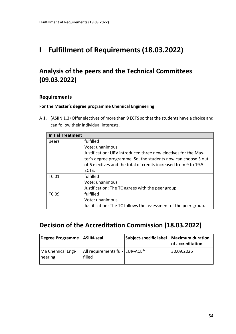### <span id="page-53-0"></span>**I Fulfillment of Requirements (18.03.2022)**

### <span id="page-53-1"></span>**Analysis of the peers and the Technical Committees (09.03.2022)**

#### **Requirements**

#### **For the Master's degree programme Chemical Engineering**

A 1. (ASIIN 1.3) Offer electives of more than 9 ECTS so that the students have a choice and can follow their individual interests.

|              | <b>Initial Treatment</b>                                         |  |  |  |
|--------------|------------------------------------------------------------------|--|--|--|
| peers        | fulfilled                                                        |  |  |  |
|              | Vote: unanimous                                                  |  |  |  |
|              | Justification: URV introduced three new electives for the Mas-   |  |  |  |
|              | ter's degree programme. So, the students now can choose 3 out    |  |  |  |
|              | of 6 electives and the total of credits increased from 9 to 19.5 |  |  |  |
|              | ECTS.                                                            |  |  |  |
| <b>TC 01</b> | fulfilled                                                        |  |  |  |
|              | Vote: unanimous                                                  |  |  |  |
|              | Justification: The TC agrees with the peer group.                |  |  |  |
| <b>TC 09</b> | fulfilled                                                        |  |  |  |
|              | Vote: unanimous                                                  |  |  |  |
|              | Justification: The TC follows the assessment of the peer group.  |  |  |  |

### <span id="page-53-2"></span>**Decision of the Accreditation Commission (18.03.2022)**

| Degree Programme   ASIIN-seal |                                                        | Subject-specific label | <b>Maximum duration</b><br>of accreditation |
|-------------------------------|--------------------------------------------------------|------------------------|---------------------------------------------|
| Ma Chemical Engi-<br>neering  | All requirements ful-   EUR-ACE <sup>®</sup><br>filled |                        | 30.09.2026                                  |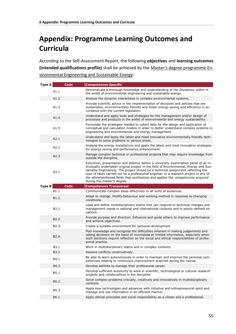# <span id="page-54-0"></span>**Appendix: Programme Learning Outcomes and Curricula**

According to the Self-Assessment Report, the following **objectives** and **learning outcomes (intended qualifications profile)** shall be achieved by the Master's degree programme Environmental Engineering and Sustainable Energy:

| <b>Type A</b> | Code             | <b>Competences Specific</b>                                                                                                                                                                                                                                                                                                                                                                                                                                                  |
|---------------|------------------|------------------------------------------------------------------------------------------------------------------------------------------------------------------------------------------------------------------------------------------------------------------------------------------------------------------------------------------------------------------------------------------------------------------------------------------------------------------------------|
|               | A1.1             | Demonstrate a thorough knowledge and understanding of the disciplines within in<br>the ambit of environmental engineering and sustainable energy.                                                                                                                                                                                                                                                                                                                            |
|               | A1.2             | Analyse the dynamic interactions in complex environmental systems.                                                                                                                                                                                                                                                                                                                                                                                                           |
|               | A1.3             | Provide scientific advice in the implementation of decisions and policies that are<br>sustainable, environmentally friendly and foster energy saving and efficiency in ac-<br>cordance with the current legislation.                                                                                                                                                                                                                                                         |
|               | A1.4             | Understand and apply tools and strategies for the management and/or design of<br>processes and products in the ambit of environmental and energy sustainability.                                                                                                                                                                                                                                                                                                             |
|               | A1.5             | Formulate the strategies needed to collect data for the design and application of<br>conceptual and calculation models in order to better understand complex systems in<br>engineering and environmental and energy management.                                                                                                                                                                                                                                              |
|               | A2.1             | Understand and apply the latest and most innovative environmentally friendly tech-<br>nologies to solve problems in various areas.                                                                                                                                                                                                                                                                                                                                           |
|               | A2.2             | Analyse the energy installations and apply the latest and most innovative strategies<br>for energy saving and performance enhancement.                                                                                                                                                                                                                                                                                                                                       |
|               | A2.3             | Manage complex technical or professional projects that may require knowledge from<br>outside the discipline.                                                                                                                                                                                                                                                                                                                                                                 |
|               | A3.1             | Execution, presentation and defence before a university examination panel of an in-<br>dividually undertaken original project in the field of Environmental, Energy and Sus-<br>tainable Engineering. The project should be a technical assignment reflecting the<br>type of tasks carried out by a professional engineer or a research project in any of<br>the aforementioned fields that synthesizes and applies the competencies acquired<br>during the master's degree. |
| <b>Type B</b> | Code             | <b>Competences Transversal</b>                                                                                                                                                                                                                                                                                                                                                                                                                                               |
|               | B1.1             | Communicate complex ideas effectively to all sorts of audiences.                                                                                                                                                                                                                                                                                                                                                                                                             |
|               | B <sub>1.2</sub> | Adapt to change. Modify behaviour and working method in response to changing<br>conditions.                                                                                                                                                                                                                                                                                                                                                                                  |
|               | B <sub>2.1</sub> | Lead and define multidisciplinary teams that can respond to technical changes and<br>management needs in national and international contexts and in poorly defined sit-<br>uations.                                                                                                                                                                                                                                                                                          |
|               | B <sub>2.2</sub> | Provide purpose and direction. Influence and guide others to improve performance<br>and achieve objectives.                                                                                                                                                                                                                                                                                                                                                                  |
|               | B2.3             | Create a suitable environment for personal development.                                                                                                                                                                                                                                                                                                                                                                                                                      |
|               | B <sub>2.4</sub> | Pool knowledge and recognise the difficulties inherent in making judgements and<br>taking decisions on the basis of incomplete or limited information, especially when<br>such decisions require reflection on the social and ethical responsibilities of profes-<br>sional practice                                                                                                                                                                                         |
|               | B <sub>3.1</sub> | Work in multidisciplinary teams and in complex contexts.                                                                                                                                                                                                                                                                                                                                                                                                                     |
|               | B3.2             | Resolve conflicts constructively.                                                                                                                                                                                                                                                                                                                                                                                                                                            |
|               | B4.1             | Be able to learn autonomously in order to maintain and improve the personal com-<br>petencies relating to continuous improvement acquired during the course.                                                                                                                                                                                                                                                                                                                 |
|               | B4.2             | Develop abilities to manage their professional career.                                                                                                                                                                                                                                                                                                                                                                                                                       |
|               | B5.1             | Develop sufficient autonomy to work in scientific, technological or cultural research<br>projects and collaborations in the discipline                                                                                                                                                                                                                                                                                                                                       |
|               | B5.2             | Solve complex problems critically, creatively and innovatively in multidisciplinary<br>contexts.                                                                                                                                                                                                                                                                                                                                                                             |
|               | B5.3             | Apply new technologies and advances with initiative and entrepreneurial spirit and<br>manage and use information in an efficient manner.                                                                                                                                                                                                                                                                                                                                     |
|               | B6.1             | Apply ethical principles and social responsibility as a citizen and a professional.                                                                                                                                                                                                                                                                                                                                                                                          |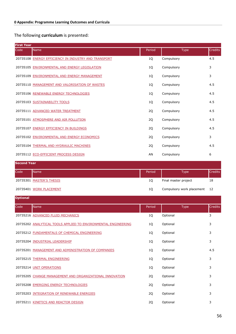#### The following **curriculum** is presented:

| <b>First Year</b> |                                                      |        |             |                |  |
|-------------------|------------------------------------------------------|--------|-------------|----------------|--|
| Code              | Name                                                 | Period | <b>Type</b> | <b>Credits</b> |  |
|                   | 20735108 ENERGY EFFICIENCY IN INDUSTRY AND TRANSPORT | 1Q     | Compulsory  | 4.5            |  |
|                   | 20735105 ENVIRONMENTAL AND ENERGY LEGISLATION        | 1Q     | Compulsory  | 3              |  |
|                   | 20735109 ENVIRONMENTAL AND ENERGY MANAGEMENT         | 1Q     | Compulsory  | 3              |  |
|                   | 20735110 MANAGEMENT AND VALORISATION OF WASTES       | 1Q     | Compulsory  | 4.5            |  |
|                   | 20735106 RENEWABLE ENERGY TECHNOLOGIES               | 1Q     | Compulsory  | 4.5            |  |
|                   | 20735103 SUSTAINABILITY TOOLS                        | 1Q     | Compulsory  | 4.5            |  |
|                   | 20735111 ADVANCED WATER TREATMENT                    | 2Q     | Compulsory  | 4.5            |  |
|                   | 20735101 ATMOSPHERE AND AIR POLLUTION                | 2Q     | Compulsory  | 4.5            |  |
|                   | 20735107 ENERGY EFFICIENCY IN BUILDINGS              | 2Q     | Compulsory  | 4.5            |  |
|                   | 20735102 ENVIRONMENTAL AND ENERGY ECONOMICS          | 2Q     | Compulsory  | 3              |  |
|                   | 20735104 THERMAL AND HYDRAULIC MACHINES              | 2Q     | Compulsory  | 4.5            |  |
|                   | 20735112 ECO-EFFICIENT PROCESS DESIGN                | AN     | Compulsory  | 6              |  |

| <b>Second Year</b> |                          |        |                              |                |
|--------------------|--------------------------|--------|------------------------------|----------------|
| Code               | <b>Name</b>              | Period | Type                         | <b>Credits</b> |
|                    | 20735301 MASTER'S THESIS | 10     | Final master project         | 18             |
|                    | 20735401 WORK PLACEMENT  | 10     | Compulsory work placement 12 |                |

| <b>Optional</b> |                                                                |        |             |                |
|-----------------|----------------------------------------------------------------|--------|-------------|----------------|
| Code            | <b>Name</b>                                                    | Period | <b>Type</b> | <b>Credits</b> |
|                 | 20735216 ADVANCED FLUID MECHANICS                              | 1Q     | Optional    | 3              |
|                 | 20735202 ANALYTICAL TOOLS APPLIED TO ENVIRONMENTAL ENGINEERING | 1Q     | Optional    | 3              |
|                 | 20735212 FUNDAMENTALS OF CHEMICAL ENGINEERING                  | 1Q     | Optional    | 3              |
|                 | 20735204 INDUSTRIAL LEADERSHIP                                 | 1Q     | Optional    | 3              |
|                 | 20735201 MANAGEMENT AND ADMINISTRATION OF COMPANIES            | 1Q     | Optional    | 4.5            |
|                 | 20735215 THERMAL ENGINEERING                                   | 1Q     | Optional    | 3              |
|                 | 20735214 UNIT OPERATIONS                                       | 1Q     | Optional    | 3              |
|                 | 20735205 CHANGE MANAGEMENT AND ORGANIZATIONAL INNOVATION       | 2Q     | Optional    | 3              |
|                 | 20735208 EMERGING ENERGY TECHNOLOGIES                          | 2Q     | Optional    | 3              |
|                 | 20735203 INTEGRATION OF RENEWABLE ENERGIES                     | 2Q     | Optional    | 3              |
|                 | 20735211 KINETICS AND REACTOR DESIGN                           | 2Q     | Optional    | 3              |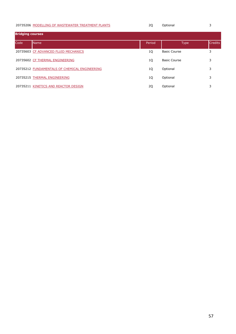#### [MODELLING OF WASTEWATER TREATMENT PLANTS](https://moodle.urv.cat/docnet/guia_docent/index.php?centre=20&ensenyament=2073&assignatura=20735206&idioma=eng&any_academic=2020_21) **20** 20 Optional 3

| <b>Bridging courses</b> |                                               |        |                     |                |
|-------------------------|-----------------------------------------------|--------|---------------------|----------------|
| Code                    | <b>Name</b>                                   | Period | <b>Type</b>         | <b>Credits</b> |
|                         | 20735603 CF ADVANCED FLUID MECHANICS          | 1Q     | <b>Basic Course</b> | 3              |
|                         | 20735602 CF THERMAL ENGINEERING               | 1Q     | <b>Basic Course</b> | 3              |
|                         | 20735212 FUNDAMENTALS OF CHEMICAL ENGINEERING | 1Q     | Optional            | 3              |
|                         | 20735215 THERMAL ENGINEERING                  | 1Q     | Optional            | 3              |
|                         | 20735211 KINETICS AND REACTOR DESIGN          | 2Q     | Optional            | 3              |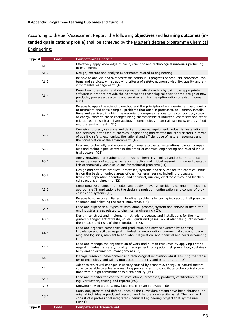According to the Self-Assessment Report, the following **objectives** and **learning outcomes (intended qualifications profile)** shall be achieved by the Master's degree programme Chemical Engineering:

| <b>Type A</b> | Code | <b>Competences Specific</b>                                                                                                                                                                                                                                                                                                                                                                                                                                                               |
|---------------|------|-------------------------------------------------------------------------------------------------------------------------------------------------------------------------------------------------------------------------------------------------------------------------------------------------------------------------------------------------------------------------------------------------------------------------------------------------------------------------------------------|
|               | A1.1 | Effectively apply knowledge of basic, scientific and technological materials pertaining<br>to engineering.                                                                                                                                                                                                                                                                                                                                                                                |
|               | A1.2 | Design, execute and analyse experiments related to engineering.                                                                                                                                                                                                                                                                                                                                                                                                                           |
|               | A1.3 | Be able to analyse and synthesize the continuous progress of products, processes, sys-<br>tems and services, whilst applying criteria of safety, economic viability, quality and en-<br>vironmental management. (G6)                                                                                                                                                                                                                                                                      |
|               | A1.4 | Know how to establish and develop mathematical models by using the appropriate<br>software in order to provide the scientific and technological basis for the design of new<br>products, processes, systems and services and for the optimization of existing ones.<br>(G5)                                                                                                                                                                                                               |
|               | A2.1 | Be able to apply the scientific method and the principles of engineering and economics<br>to formulate and solve complex problems that arise in processes, equipment, installa-<br>tions and services, in which the material undergoes changes to its composition, state<br>or energy content, these changes being characteristic of industrial chemistry and other<br>related sectors such as pharmacology, biotechnology, materials sciences, energy, food<br>and the environment. (G1) |
|               | A2.2 | Conceive, project, calculate and design processes, equipment, industrial installations<br>and services in the field of chemical engineering and related industrial sectors in terms<br>of quality, safety, economics, the rational and efficient use of natural resources and<br>the conservation of the environment. (G2)                                                                                                                                                                |
|               | A2.3 | Lead and technically and economically manage projects, installations, plants, compa-<br>nies and technological centres in the ambit of chemical engineering and related indus-<br>trial sectors. (G3)                                                                                                                                                                                                                                                                                     |
|               | A3.1 | Apply knowledge of mathematics, physics, chemistry, biology and other natural sci-<br>ences by means of study, experience, practice and critical reasoning in order to estab-<br>lish economically viable solutions for technical problems (I1).                                                                                                                                                                                                                                          |
| A3.2          |      | Design and optimize products, processes, systems and services for the chemical indus-<br>try on the basis of various areas of chemical engineering, including processes,<br>transport, separation operations, and chemical, nuclear, electrochemical and biochemi-<br>cal reactions engineering (I2).                                                                                                                                                                                     |
|               | A3.3 | Conceptualize engineering models and apply innovative problems solving methods and<br>appropriate IT applications to the design, simulation, optimization and control of pro-<br>cesses and systems (I3).                                                                                                                                                                                                                                                                                 |
| A3.4          |      | Be able to solve unfamiliar and ill-defined problems by taking into account all possible<br>solutions and selecting the most innovative. (I4)                                                                                                                                                                                                                                                                                                                                             |
|               | A3.5 | Lead and supervise all types of installation, process, system and service in the differ-<br>ent industrial areas related to chemical engineering (I5).                                                                                                                                                                                                                                                                                                                                    |
|               | A3.6 | Design, construct and implement methods, processes and installations for the inte-<br>grated management of waste, solids, liquids and gases, whilst also taking into account<br>the impacts and risks of these products (I6).                                                                                                                                                                                                                                                             |
|               | A4.1 | Lead and organize companies and production and service systems by applying<br>knowledge and abilities regarding industrial organization, commercial strategy, plan-<br>ning and logistics, mercantile and labour legislation, and financial and costs accounting<br>(P1).                                                                                                                                                                                                                 |
|               | A4.2 | Lead and manage the organization of work and human resources by applying criteria<br>regarding industrial safety, quality management, occupation risk prevention, sustaina-<br>bility and environmental management (P2).                                                                                                                                                                                                                                                                  |
|               | A4.3 | Manage research, development and technological innovation whilst ensuring the trans-<br>fer of technology and taking into account property and patent rights (P3).                                                                                                                                                                                                                                                                                                                        |
|               | A4.4 | Adapt to structural changes in society caused by economic, energy or natural factors<br>so as to be able to solve any resulting problems and to contribute technological solu-<br>tions with a high commitment to sustainability (P4).                                                                                                                                                                                                                                                    |
|               | A4.5 | Lead and monitor the control of installations, processes, products, certification, audit-<br>ing, verification, testing and reports (P5).                                                                                                                                                                                                                                                                                                                                                 |
|               | A4.6 | Knowing how to create a new business from an innovative idea                                                                                                                                                                                                                                                                                                                                                                                                                              |
|               | A5.1 | Carry out, present and defend (once all the curriculum credits have been obtained) an<br>original individually produced piece of work before a university panel. The work will<br>consist of a professional integrated Chemical Engineering project that synthesizes<br>(TFM1)                                                                                                                                                                                                            |
| <b>Type B</b> | Code | <b>Competences Transversal</b>                                                                                                                                                                                                                                                                                                                                                                                                                                                            |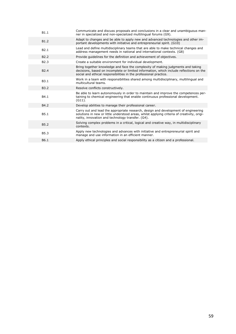| B1.1             | Communicate and discuss proposals and conclusions in a clear and unambiguous man-<br>ner in specialized and non-specialized multilingual forums (G9).                                                                                           |
|------------------|-------------------------------------------------------------------------------------------------------------------------------------------------------------------------------------------------------------------------------------------------|
| B <sub>1.2</sub> | Adapt to changes and be able to apply new and advanced technologies and other im-<br>portant developments with initiative and entrepreneurial spirit. (G10)                                                                                     |
| B <sub>2.1</sub> | Lead and define multidisciplinary teams that are able to make technical changes and<br>address management needs in national and international contexts. (G8)                                                                                    |
| B <sub>2.2</sub> | Provide quidelines for the definition and achievement of objectives.                                                                                                                                                                            |
| B <sub>2.3</sub> | Create a suitable environment for individual development.                                                                                                                                                                                       |
| B <sub>2.4</sub> | Bring together knowledge and face the complexity of making judgments and taking<br>decisions, based on incomplete or limited information, which include reflections on the<br>social and ethical responsibilities in the professional practice. |
| B <sub>3.1</sub> | Work in a team with responsibilities shared among multidisciplinary, multilingual and<br>multicultural teams.                                                                                                                                   |
| <b>B3.2</b>      | Resolve conflicts constructively.                                                                                                                                                                                                               |
| B4.1             | Be able to learn autonomously in order to maintain and improve the competences per-<br>taining to chemical engineering that enable continuous professional development.<br>$(G11)$ .                                                            |
| B4.2             | Develop abilities to manage their professional career.                                                                                                                                                                                          |
| B5.1             | Carry out and lead the appropriate research, design and development of engineering<br>solutions in new or little understood areas, whilst applying criteria of creativity, origi-<br>nality, innovation and technology transfer. (G4).          |
| <b>B5.2</b>      | Solving complex problems in a critical, logical and creative way, in multidisciplinary<br>contexts.                                                                                                                                             |
| <b>B5.3</b>      | Apply new technologies and advances with initiative and entrepreneurial spirit and<br>manage and use information in an efficient manner.                                                                                                        |
| B6.1             | Apply ethical principles and social responsibility as a citizen and a professional.                                                                                                                                                             |
|                  |                                                                                                                                                                                                                                                 |